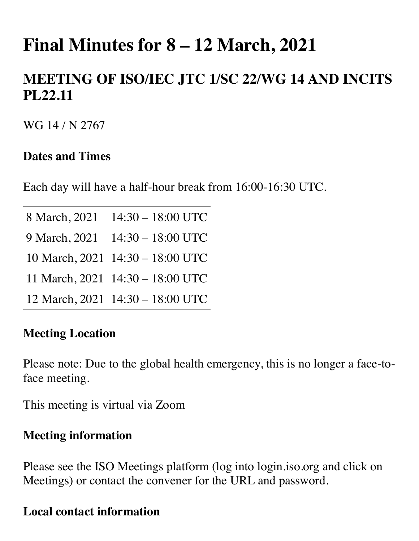# **Final Minutes for 8 – 12 March, 2021**

## **MEETING OF ISO/IEC JTC 1/SC 22/WG 14 AND INCITS PL22.11**

WG 14 / N 2767

#### **Dates and Times**

Each day will have a half-hour break from 16:00-16:30 UTC.

| 8 March, 2021 14:30 - 18:00 UTC  |
|----------------------------------|
| 9 March, 2021 14:30 - 18:00 UTC  |
| 10 March, 2021 14:30 - 18:00 UTC |
| 11 March, 2021 14:30 - 18:00 UTC |
| 12 March, 2021 14:30 - 18:00 UTC |

#### **Meeting Location**

Please note: Due to the global health emergency, this is no longer a face-toface meeting.

This meeting is virtual via Zoom

#### **Meeting information**

Please see the ISO Meetings platform (log into login.iso.org and click on Meetings) or contact the convener for the URL and password.

#### **Local contact information**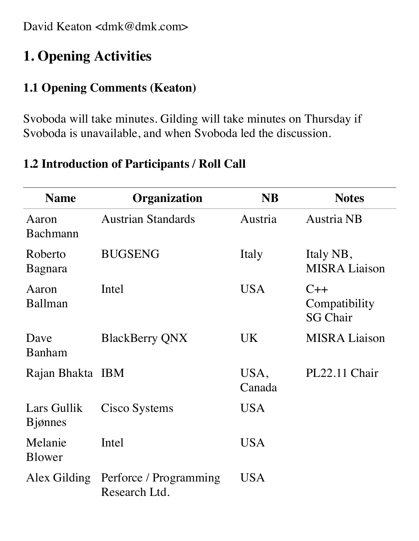David Keaton <dmk@dmk.com>

## **1. Opening Activities**

#### **1.1 Opening Comments (Keaton)**

Svoboda will take minutes. Gilding will take minutes on Thursday if Svoboda is unavailable, and when Svoboda led the discussion.

#### **1.2 Introduction of Participants / Roll Call**

| <b>Name</b>                    | Organization                                         | <b>NB</b>      | <b>Notes</b>                              |
|--------------------------------|------------------------------------------------------|----------------|-------------------------------------------|
| Aaron<br>Bachmann              | <b>Austrian Standards</b>                            | Austria        | <b>Austria NB</b>                         |
| Roberto<br>Bagnara             | <b>BUGSENG</b>                                       | Italy          | Italy NB,<br><b>MISRA Liaison</b>         |
| Aaron<br>Ballman               | Intel                                                | <b>USA</b>     | $C++$<br>Compatibility<br><b>SG Chair</b> |
| Dave<br><b>Banham</b>          | <b>BlackBerry QNX</b>                                | UK.            | <b>MISRA Liaison</b>                      |
| Rajan Bhakta IBM               |                                                      | USA,<br>Canada | PL22.11 Chair                             |
| Lars Gullik<br><b>B</b> jønnes | Cisco Systems                                        | <b>USA</b>     |                                           |
| Melanie<br>Blower              | Intel                                                | <b>USA</b>     |                                           |
|                                | Alex Gilding Perforce / Programming<br>Research Ltd. | <b>USA</b>     |                                           |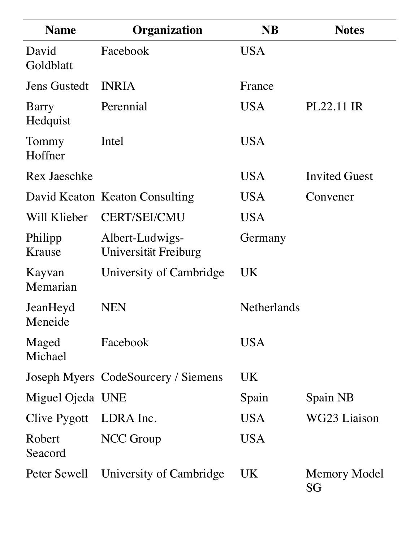| <b>Name</b>         | Organization                            | <b>NB</b>          | <b>Notes</b>         |
|---------------------|-----------------------------------------|--------------------|----------------------|
| David<br>Goldblatt  | Facebook                                | <b>USA</b>         |                      |
| <b>Jens Gustedt</b> | <b>INRIA</b>                            | France             |                      |
| Barry<br>Hedquist   | Perennial                               | <b>USA</b>         | PL22.11 IR           |
| Tommy<br>Hoffner    | Intel                                   | <b>USA</b>         |                      |
| Rex Jaeschke        |                                         | <b>USA</b>         | <b>Invited Guest</b> |
|                     | David Keaton Keaton Consulting          | <b>USA</b>         | Convener             |
| Will Klieber        | <b>CERT/SEI/CMU</b>                     | USA                |                      |
| Philipp<br>Krause   | Albert-Ludwigs-<br>Universität Freiburg | Germany            |                      |
| Kayvan<br>Memarian  | University of Cambridge                 | UK                 |                      |
| JeanHeyd<br>Meneide | NEN                                     | <b>Netherlands</b> |                      |
| Maged<br>Michael    | Facebook                                | <b>USA</b>         |                      |
|                     | Joseph Myers CodeSourcery / Siemens     | UK                 |                      |
| Miguel Ojeda UNE    |                                         | Spain              | Spain NB             |
| Clive Pygott        | LDRA Inc.                               | <b>USA</b>         | WG23 Liaison         |
| Robert<br>Seacord   | <b>NCC</b> Group                        | <b>USA</b>         |                      |
| Peter Sewell        | University of Cambridge                 | UK                 | Memory Model<br>SG   |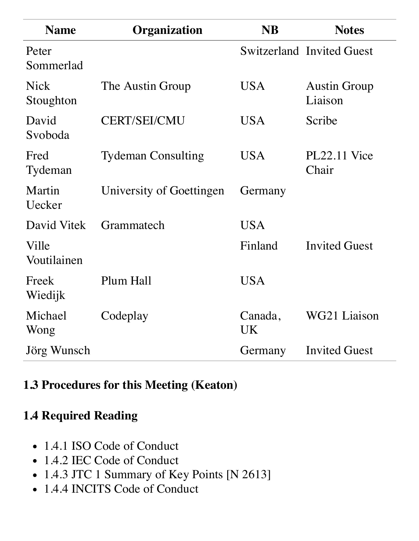| <b>Name</b>              | Organization              | <b>NB</b>            | <b>Notes</b>                     |
|--------------------------|---------------------------|----------------------|----------------------------------|
| Peter<br>Sommerlad       |                           |                      | <b>Switzerland Invited Guest</b> |
| <b>Nick</b><br>Stoughton | The Austin Group          | <b>USA</b>           | <b>Austin Group</b><br>Liaison   |
| David<br>Svoboda         | <b>CERT/SEI/CMU</b>       | <b>USA</b>           | Scribe                           |
| Fred<br>Tydeman          | <b>Tydeman Consulting</b> | <b>USA</b>           | $PL22.11$ Vice<br>Chair          |
| Martin<br>Uecker         | University of Goettingen  | Germany              |                                  |
| David Vitek              | Grammatech                | <b>USA</b>           |                                  |
| Ville<br>Voutilainen     |                           | Finland              | <b>Invited Guest</b>             |
| Freek<br>Wiedijk         | Plum Hall                 | <b>USA</b>           |                                  |
| Michael<br>Wong          | Codeplay                  | Canada,<br><b>UK</b> | WG21 Liaison                     |
| Jörg Wunsch              |                           | Germany              | <b>Invited Guest</b>             |

### **1.3 Procedures for this Meeting (Keaton)**

### **1.4 Required Reading**

- 1.4.1 ISO Code of Conduct
- 1.4.2 IEC Code of Conduct
- 1.4.3 JTC 1 Summary of Key Points [N 2613]
- 1.4.4 INCITS Code of Conduct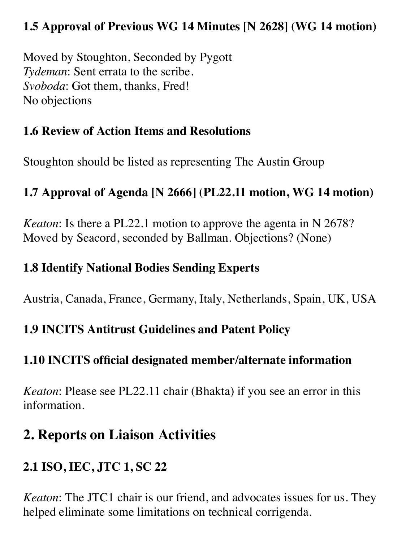### **1.5 Approval of Previous WG 14 Minutes [N 2628] (WG 14 motion)**

Moved by Stoughton, Seconded by Pygott *Tydeman*: Sent errata to the scribe. *Svoboda*: Got them, thanks, Fred! No objections

### **1.6 Review of Action Items and Resolutions**

Stoughton should be listed as representing The Austin Group

### **1.7 Approval of Agenda [N 2666] (PL22.11 motion, WG 14 motion)**

*Keaton*: Is there a PL22.1 motion to approve the agenta in N 2678? Moved by Seacord, seconded by Ballman. Objections? (None)

#### **1.8 Identify National Bodies Sending Experts**

Austria, Canada, France, Germany, Italy, Netherlands, Spain, UK, USA

### **1.9 INCITS Antitrust Guidelines and Patent Policy**

### **1.10 INCITS official designated member/alternate information**

*Keaton*: Please see PL22.11 chair (Bhakta) if you see an error in this information.

## **2. Reports on Liaison Activities**

### **2.1 ISO, IEC, JTC 1, SC 22**

*Keaton*: The JTC1 chair is our friend, and advocates issues for us. They helped eliminate some limitations on technical corrigenda.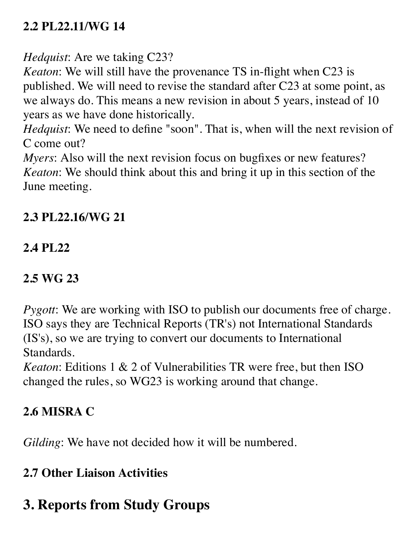### **2.2 PL22.11/WG 14**

*Hedquist*: Are we taking C23?

*Keaton*: We will still have the provenance TS in-flight when C23 is published. We will need to revise the standard after C23 at some point, as we always do. This means a new revision in about 5 years, instead of 10 years as we have done historically.

*Hedquist*: We need to define "soon". That is, when will the next revision of C come out?

*Myers*: Also will the next revision focus on bugfixes or new features? *Keaton*: We should think about this and bring it up in this section of the June meeting.

### **2.3 PL22.16/WG 21**

### **2.4 PL22**

### **2.5 WG 23**

*Pygott*: We are working with ISO to publish our documents free of charge. ISO says they are Technical Reports (TR's) not International Standards (IS's), so we are trying to convert our documents to International Standards.

*Keaton*: Editions 1 & 2 of Vulnerabilities TR were free, but then ISO changed the rules, so WG23 is working around that change.

## **2.6 MISRA C**

*Gilding*: We have not decided how it will be numbered.

### **2.7 Other Liaison Activities**

## **3. Reports from Study Groups**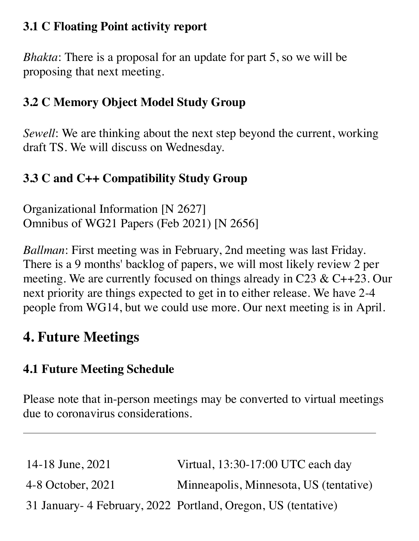### **3.1 C Floating Point activity report**

*Bhakta*: There is a proposal for an update for part 5, so we will be proposing that next meeting.

### **3.2 C Memory Object Model Study Group**

*Sewell*: We are thinking about the next step beyond the current, working draft TS. We will discuss on Wednesday.

### **3.3 C and C++ Compatibility Study Group**

Organizational Information [N 2627] Omnibus of WG21 Papers (Feb 2021) [N 2656]

*Ballman*: First meeting was in February, 2nd meeting was last Friday. There is a 9 months' backlog of papers, we will most likely review 2 per meeting. We are currently focused on things already in C23 & C++23. Our next priority are things expected to get in to either release. We have 2-4 people from WG14, but we could use more. Our next meeting is in April.

## **4. Future Meetings**

### **4.1 Future Meeting Schedule**

Please note that in-person meetings may be converted to virtual meetings due to coronavirus considerations.

| 14-18 June, 2021  | Virtual, 13:30-17:00 UTC each day                              |
|-------------------|----------------------------------------------------------------|
| 4-8 October, 2021 | Minneapolis, Minnesota, US (tentative)                         |
|                   | 31 January - 4 February, 2022 Portland, Oregon, US (tentative) |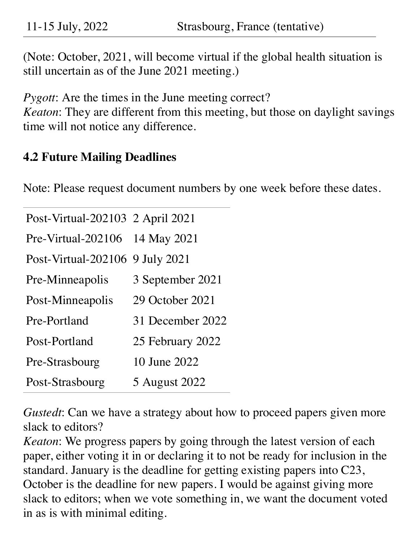11-15 July, 2022 Strasbourg, France (tentative)

(Note: October, 2021, will become virtual if the global health situation is still uncertain as of the June 2021 meeting.)

*Pygott*: Are the times in the June meeting correct?

*Keaton*: They are different from this meeting, but those on daylight savings time will not notice any difference.

#### **4.2 Future Mailing Deadlines**

Note: Please request document numbers by one week before these dates.

| Post-Virtual-202103 2 April 2021 |                  |
|----------------------------------|------------------|
| Pre-Virtual-202106 14 May 2021   |                  |
| Post-Virtual-202106 9 July 2021  |                  |
| Pre-Minneapolis                  | 3 September 2021 |
| Post-Minneapolis                 | 29 October 2021  |
| Pre-Portland                     | 31 December 2022 |
| Post-Portland                    | 25 February 2022 |
| Pre-Strasbourg                   | 10 June 2022     |
| Post-Strasbourg                  | 5 August 2022    |

*Gustedt*: Can we have a strategy about how to proceed papers given more slack to editors?

*Keaton*: We progress papers by going through the latest version of each paper, either voting it in or declaring it to not be ready for inclusion in the standard. January is the deadline for getting existing papers into C23, October is the deadline for new papers. I would be against giving more slack to editors; when we vote something in, we want the document voted in as is with minimal editing.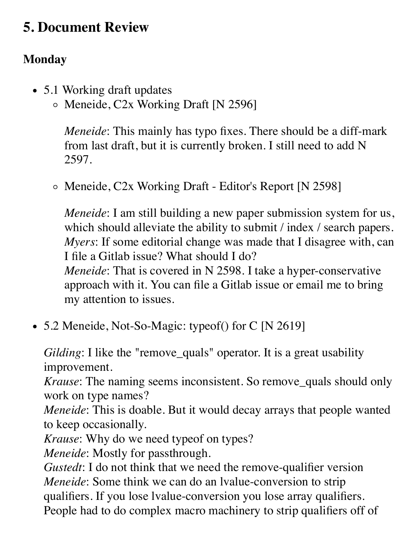## **5. Document Review**

### **Monday**

- 5.1 Working draft updates
	- Meneide, C2x Working Draft [N 2596]

*Meneide*: This mainly has typo fixes. There should be a diff-mark from last draft, but it is currently broken. I still need to add N 2597.

Meneide, C2x Working Draft - Editor's Report [N 2598]

*Meneide*: I am still building a new paper submission system for us, which should alleviate the ability to submit / index / search papers. *Myers*: If some editorial change was made that I disagree with, can I file a Gitlab issue? What should I do? *Meneide*: That is covered in N 2598. I take a hyper-conservative approach with it. You can file a Gitlab issue or email me to bring my attention to issues.

• 5.2 Meneide, Not-So-Magic: typeof() for C [N 2619]

*Gilding*: I like the "remove\_quals" operator. It is a great usability improvement.

*Krause*: The naming seems inconsistent. So remove\_quals should only work on type names?

*Meneide*: This is doable. But it would decay arrays that people wanted to keep occasionally.

*Krause*: Why do we need typeof on types?

*Meneide*: Mostly for passthrough.

*Gustedt*: I do not think that we need the remove-qualifier version *Meneide*: Some think we can do an lvalue-conversion to strip qualifiers. If you lose lvalue-conversion you lose array qualifiers. People had to do complex macro machinery to strip qualifiers off of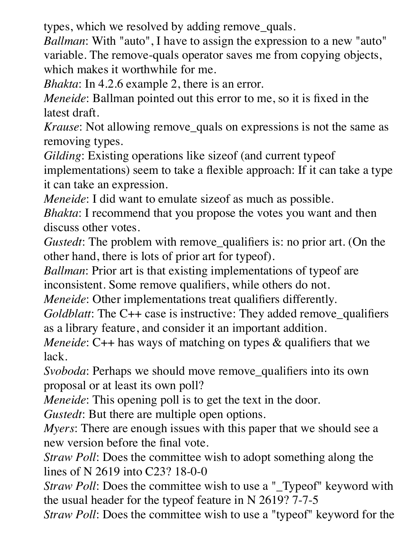types, which we resolved by adding remove\_quals.

*Ballman*: With "auto", I have to assign the expression to a new "auto" variable. The remove-quals operator saves me from copying objects, which makes it worthwhile for me.

*Bhakta*: In 4.2.6 example 2, there is an error.

*Meneide*: Ballman pointed out this error to me, so it is fixed in the latest draft.

*Krause*: Not allowing remove\_quals on expressions is not the same as removing types.

*Gilding*: Existing operations like sizeof (and current typeof implementations) seem to take a flexible approach: If it can take a type it can take an expression.

*Meneide*: I did want to emulate size f as much as possible.

*Bhakta*: I recommend that you propose the votes you want and then discuss other votes.

*Gustedt*: The problem with remove\_qualifiers is: no prior art. (On the other hand, there is lots of prior art for typeof).

*Ballman*: Prior art is that existing implementations of typeof are inconsistent. Some remove qualifiers, while others do not.

*Meneide*: Other implementations treat qualifiers differently.

*Goldblatt*: The C++ case is instructive: They added remove\_qualifiers as a library feature, and consider it an important addition.

*Meneide*: C++ has ways of matching on types & qualifiers that we lack.

*Svoboda*: Perhaps we should move remove qualifiers into its own proposal or at least its own poll?

*Meneide*: This opening poll is to get the text in the door.

*Gustedt*: But there are multiple open options.

*Myers*: There are enough issues with this paper that we should see a new version before the final vote.

*Straw Poll*: Does the committee wish to adopt something along the lines of N 2619 into C23? 18-0-0

*Straw Poll*: Does the committee wish to use a "\_Typeof" keyword with the usual header for the typeof feature in N 2619? 7-7-5

*Straw Poll*: Does the committee wish to use a "typeof" keyword for the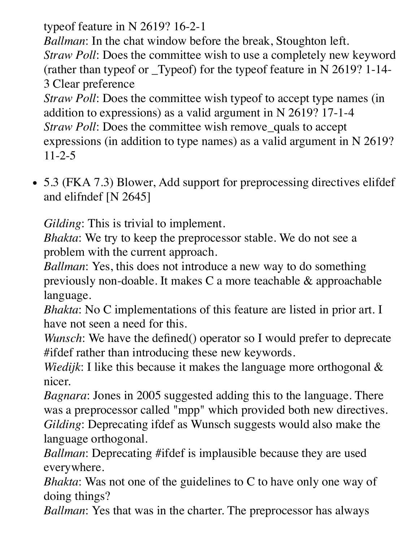typeof feature in N 2619? 16-2-1

*Ballman*: In the chat window before the break, Stoughton left. *Straw Poll*: Does the committee wish to use a completely new keyword (rather than typeof or \_Typeof) for the typeof feature in N 2619? 1-14- 3 Clear preference

*Straw Poll:* Does the committee wish typeof to accept type names (in addition to expressions) as a valid argument in N 2619? 17-1-4 *Straw Poll*: Does the committee wish remove\_quals to accept expressions (in addition to type names) as a valid argument in N 2619? 11-2-5

5.3 (FKA 7.3) Blower, Add support for preprocessing directives elifdef and elifndef [N 2645]

*Gilding*: This is trivial to implement.

*Bhakta*: We try to keep the preprocessor stable. We do not see a problem with the current approach.

*Ballman*: Yes, this does not introduce a new way to do something previously non-doable. It makes C a more teachable & approachable language.

*Bhakta*: No C implementations of this feature are listed in prior art. I have not seen a need for this.

*Wunsch*: We have the defined() operator so I would prefer to deprecate #ifdef rather than introducing these new keywords.

*Wiedijk*: I like this because it makes the language more orthogonal & nicer.

*Bagnara*: Jones in 2005 suggested adding this to the language. There was a preprocessor called "mpp" which provided both new directives. *Gilding*: Deprecating ifdef as Wunsch suggests would also make the language orthogonal.

*Ballman*: Deprecating #ifdef is implausible because they are used everywhere.

*Bhakta*: Was not one of the guidelines to C to have only one way of doing things?

*Ballman*: Yes that was in the charter. The preprocessor has always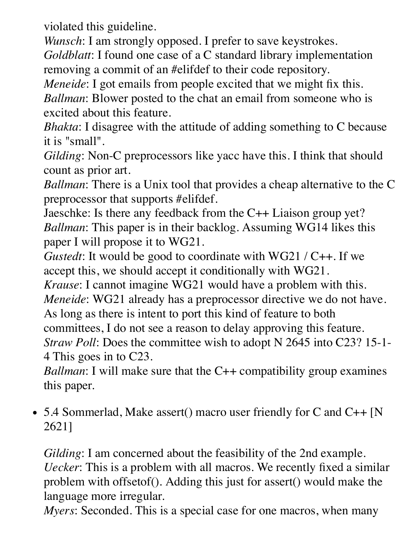violated this guideline.

*Wunsch*: I am strongly opposed. I prefer to save keystrokes.

*Goldblatt*: I found one case of a C standard library implementation removing a commit of an #elifdef to their code repository.

*Meneide*: I got emails from people excited that we might fix this.

*Ballman*: Blower posted to the chat an email from someone who is excited about this feature.

*Bhakta*: I disagree with the attitude of adding something to C because it is "small".

*Gilding*: Non-C preprocessors like yacc have this. I think that should count as prior art.

*Ballman*: There is a Unix tool that provides a cheap alternative to the C preprocessor that supports #elifdef.

Jaeschke: Is there any feedback from the C++ Liaison group yet? *Ballman*: This paper is in their backlog. Assuming WG14 likes this paper I will propose it to WG21.

*Gustedt*: It would be good to coordinate with WG21 / C++. If we accept this, we should accept it conditionally with WG21.

*Krause*: I cannot imagine WG21 would have a problem with this.

*Meneide*: WG21 already has a preprocessor directive we do not have.

As long as there is intent to port this kind of feature to both

committees, I do not see a reason to delay approving this feature.

*Straw Poll*: Does the committee wish to adopt N 2645 into C23? 15-1- 4 This goes in to C23.

*Ballman*: I will make sure that the C++ compatibility group examines this paper.

• 5.4 Sommerlad, Make assert() macro user friendly for C and C++ [N 2621]

*Gilding*: I am concerned about the feasibility of the 2nd example. *Uecker*: This is a problem with all macros. We recently fixed a similar problem with offsetof(). Adding this just for assert() would make the language more irregular.

*Myers*: Seconded. This is a special case for one macros, when many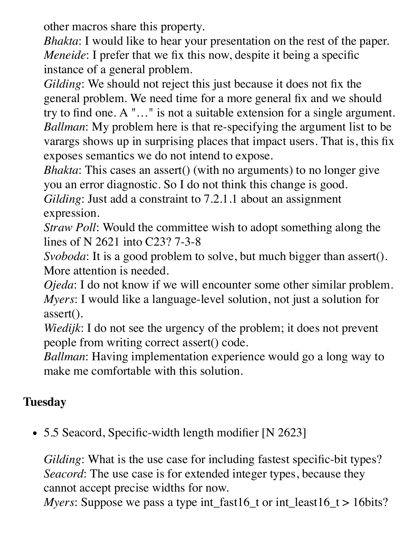other macros share this property.

*Bhakta*: I would like to hear your presentation on the rest of the paper. *Meneide*: I prefer that we fix this now, despite it being a specific instance of a general problem.

*Gilding*: We should not reject this just because it does not fix the general problem. We need time for a more general fix and we should try to find one. A "…" is not a suitable extension for a single argument. *Ballman*: My problem here is that re-specifying the argument list to be varargs shows up in surprising places that impact users. That is, this fix exposes semantics we do not intend to expose.

*Bhakta*: This cases an assert() (with no arguments) to no longer give you an error diagnostic. So I do not think this change is good.

*Gilding*: Just add a constraint to 7.2.1.1 about an assignment expression.

*Straw Poll*: Would the committee wish to adopt something along the lines of N 2621 into C23? 7-3-8

*Svoboda*: It is a good problem to solve, but much bigger than assert(). More attention is needed.

*Ojeda*: I do not know if we will encounter some other similar problem. *Myers*: I would like a language-level solution, not just a solution for assert().

*Wiedijk*: I do not see the urgency of the problem; it does not prevent people from writing correct assert() code.

*Ballman*: Having implementation experience would go a long way to make me comfortable with this solution.

### **Tuesday**

• 5.5 Seacord, Specific-width length modifier [N 2623]

*Gilding*: What is the use case for including fastest specific-bit types? *Seacord*: The use case is for extended integer types, because they cannot accept precise widths for now.

*Myers*: Suppose we pass a type int\_fast16\_t or int\_least16\_t > 16bits?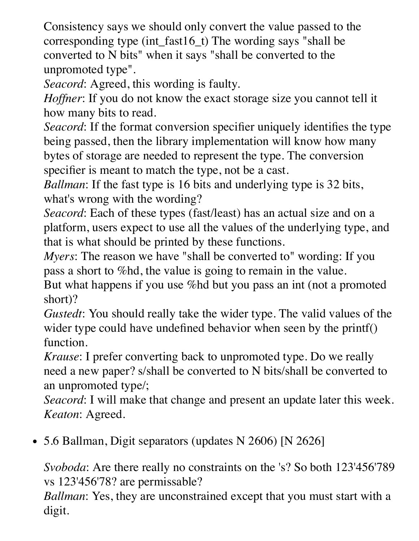Consistency says we should only convert the value passed to the corresponding type (int\_fast16\_t) The wording says "shall be converted to N bits" when it says "shall be converted to the unpromoted type".

*Seacord*: Agreed, this wording is faulty.

*Hoffner*: If you do not know the exact storage size you cannot tell it how many bits to read.

*Seacord*: If the format conversion specifier uniquely identifies the type being passed, then the library implementation will know how many bytes of storage are needed to represent the type. The conversion specifier is meant to match the type, not be a cast.

*Ballman*: If the fast type is 16 bits and underlying type is 32 bits, what's wrong with the wording?

*Seacord*: Each of these types (fast/least) has an actual size and on a platform, users expect to use all the values of the underlying type, and that is what should be printed by these functions.

*Myers*: The reason we have "shall be converted to" wording: If you pass a short to %hd, the value is going to remain in the value.

But what happens if you use %hd but you pass an int (not a promoted short)?

*Gustedt*: You should really take the wider type. The valid values of the wider type could have undefined behavior when seen by the printf() function.

*Krause*: I prefer converting back to unpromoted type. Do we really need a new paper? s/shall be converted to N bits/shall be converted to an unpromoted type/;

*Seacord*: I will make that change and present an update later this week. *Keaton*: Agreed.

• 5.6 Ballman, Digit separators (updates N 2606) [N 2626]

*Svoboda*: Are there really no constraints on the 's? So both 123'456'789 vs 123'456'78? are permissable?

*Ballman*: Yes, they are unconstrained except that you must start with a digit.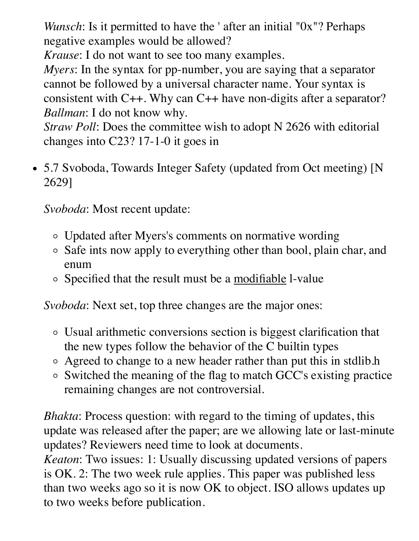*Wunsch*: Is it permitted to have the ' after an initial "0x"? Perhaps negative examples would be allowed?

*Krause*: I do not want to see too many examples.

*Myers*: In the syntax for pp-number, you are saying that a separator cannot be followed by a universal character name. Your syntax is consistent with C++. Why can C++ have non-digits after a separator? *Ballman*: I do not know why.

*Straw Poll*: Does the committee wish to adopt N 2626 with editorial changes into C23? 17-1-0 it goes in

• 5.7 Svoboda, Towards Integer Safety (updated from Oct meeting) [N 2629]

*Svoboda*: Most recent update:

- Updated after Myers's comments on normative wording
- Safe ints now apply to everything other than bool, plain char, and enum
- Specified that the result must be a modifiable 1-value

*Svoboda*: Next set, top three changes are the major ones:

- Usual arithmetic conversions section is biggest clarification that the new types follow the behavior of the C builtin types
- Agreed to change to a new header rather than put this in stdlib.h
- Switched the meaning of the flag to match GCC's existing practice remaining changes are not controversial.

*Bhakta*: Process question: with regard to the timing of updates, this update was released after the paper; are we allowing late or last-minute updates? Reviewers need time to look at documents.

*Keaton*: Two issues: 1: Usually discussing updated versions of papers is OK. 2: The two week rule applies. This paper was published less than two weeks ago so it is now OK to object. ISO allows updates up to two weeks before publication.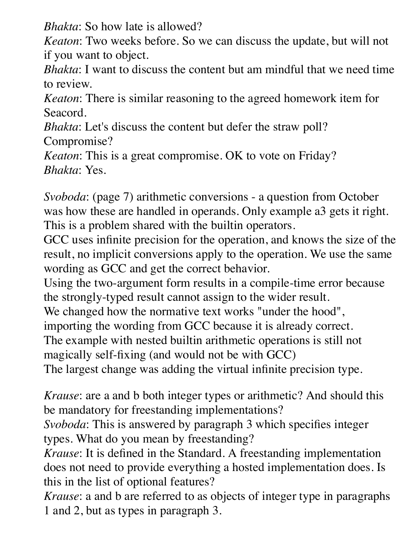*Bhakta*: So how late is allowed?

*Keaton*: Two weeks before. So we can discuss the update, but will not if you want to object.

*Bhakta*: I want to discuss the content but am mindful that we need time to review.

*Keaton*: There is similar reasoning to the agreed homework item for Seacord.

*Bhakta*: Let's discuss the content but defer the straw poll? Compromise?

*Keaton*: This is a great compromise. OK to vote on Friday? *Bhakta*: Yes.

*Svoboda*: (page 7) arithmetic conversions - a question from October was how these are handled in operands. Only example a3 gets it right. This is a problem shared with the builtin operators.

GCC uses infinite precision for the operation, and knows the size of the result, no implicit conversions apply to the operation. We use the same wording as GCC and get the correct behavior.

Using the two-argument form results in a compile-time error because the strongly-typed result cannot assign to the wider result.

We changed how the normative text works "under the hood",

importing the wording from GCC because it is already correct.

The example with nested builtin arithmetic operations is still not magically self-fixing (and would not be with GCC)

The largest change was adding the virtual infinite precision type.

*Krause*: are a and b both integer types or arithmetic? And should this be mandatory for freestanding implementations?

*Svoboda*: This is answered by paragraph 3 which specifies integer types. What do you mean by freestanding?

*Krause*: It is defined in the Standard. A freestanding implementation does not need to provide everything a hosted implementation does. Is this in the list of optional features?

*Krause*: a and b are referred to as objects of integer type in paragraphs 1 and 2, but as types in paragraph 3.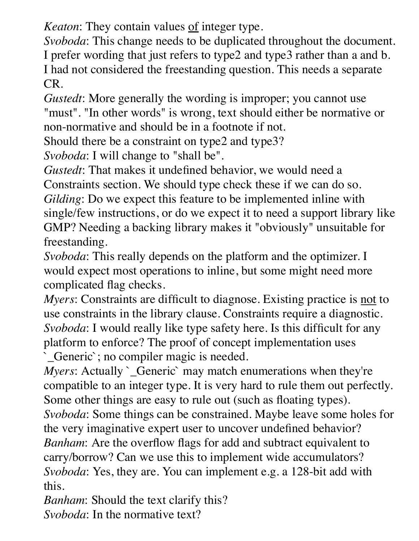*Keaton*: They contain values of integer type.

*Svoboda*: This change needs to be duplicated throughout the document. I prefer wording that just refers to type2 and type3 rather than a and b. I had not considered the freestanding question. This needs a separate CR.

*Gustedt*: More generally the wording is improper; you cannot use "must". "In other words" is wrong, text should either be normative or non-normative and should be in a footnote if not.

Should there be a constraint on type2 and type3?

*Svoboda*: I will change to "shall be".

*Gustedt*: That makes it undefined behavior, we would need a Constraints section. We should type check these if we can do so. *Gilding*: Do we expect this feature to be implemented inline with single/few instructions, or do we expect it to need a support library like GMP? Needing a backing library makes it "obviously" unsuitable for freestanding.

*Svoboda*: This really depends on the platform and the optimizer. I would expect most operations to inline, but some might need more complicated flag checks.

*Myers*: Constraints are difficult to diagnose. Existing practice is <u>not</u> to use constraints in the library clause. Constraints require a diagnostic. *Svoboda*: I would really like type safety here. Is this difficult for any platform to enforce? The proof of concept implementation uses `\_Generic`; no compiler magic is needed.

*Myers*: Actually *Ceneric* may match enumerations when they're compatible to an integer type. It is very hard to rule them out perfectly. Some other things are easy to rule out (such as floating types). *Svoboda*: Some things can be constrained. Maybe leave some holes for the very imaginative expert user to uncover undefined behavior? *Banham*: Are the overflow flags for add and subtract equivalent to carry/borrow? Can we use this to implement wide accumulators? *Svoboda*: Yes, they are. You can implement e.g. a 128-bit add with this.

*Banham*: Should the text clarify this? *Svoboda*: In the normative text?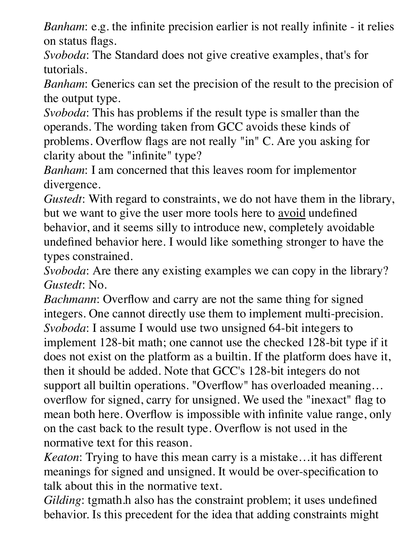*Banham*: e.g. the infinite precision earlier is not really infinite - it relies on status flags.

*Svoboda*: The Standard does not give creative examples, that's for tutorials.

*Banham*: Generics can set the precision of the result to the precision of the output type.

*Svoboda*: This has problems if the result type is smaller than the operands. The wording taken from GCC avoids these kinds of problems. Overflow flags are not really "in" C. Are you asking for clarity about the "infinite" type?

*Banham*: I am concerned that this leaves room for implementor divergence.

*Gustedt*: With regard to constraints, we do not have them in the library, but we want to give the user more tools here to <u>avoid</u> undefined behavior, and it seems silly to introduce new, completely avoidable undefined behavior here. I would like something stronger to have the types constrained.

*Svoboda*: Are there any existing examples we can copy in the library? *Gustedt*: No.

*Bachmann*: Overflow and carry are not the same thing for signed integers. One cannot directly use them to implement multi-precision. *Svoboda*: I assume I would use two unsigned 64-bit integers to implement 128-bit math; one cannot use the checked 128-bit type if it does not exist on the platform as a builtin. If the platform does have it, then it should be added. Note that GCC's 128-bit integers do not support all builtin operations. "Overflow" has overloaded meaning… overflow for signed, carry for unsigned. We used the "inexact" flag to mean both here. Overflow is impossible with infinite value range, only on the cast back to the result type. Overflow is not used in the normative text for this reason.

*Keaton*: Trying to have this mean carry is a mistake…it has different meanings for signed and unsigned. It would be over-specification to talk about this in the normative text.

*Gilding*: tgmath.h also has the constraint problem; it uses undefined behavior. Is this precedent for the idea that adding constraints might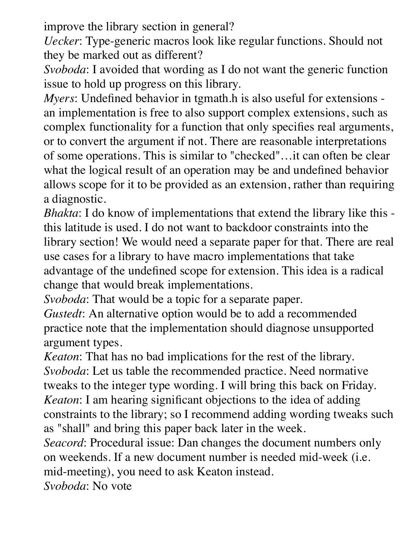improve the library section in general?

*Uecker*: Type-generic macros look like regular functions. Should not they be marked out as different?

*Svoboda*: I avoided that wording as I do not want the generic function issue to hold up progress on this library.

*Myers*: Undefined behavior in tgmath.h is also useful for extensions an implementation is free to also support complex extensions, such as complex functionality for a function that only specifies real arguments, or to convert the argument if not. There are reasonable interpretations of some operations. This is similar to "checked"…it can often be clear what the logical result of an operation may be and undefined behavior allows scope for it to be provided as an extension, rather than requiring a diagnostic.

*Bhakta*: I do know of implementations that extend the library like this this latitude is used. I do not want to backdoor constraints into the library section! We would need a separate paper for that. There are real use cases for a library to have macro implementations that take advantage of the undefined scope for extension. This idea is a radical change that would break implementations.

*Svoboda*: That would be a topic for a separate paper.

*Gustedt*: An alternative option would be to add a recommended practice note that the implementation should diagnose unsupported argument types.

*Keaton*: That has no bad implications for the rest of the library. *Svoboda*: Let us table the recommended practice. Need normative tweaks to the integer type wording. I will bring this back on Friday. *Keaton*: I am hearing significant objections to the idea of adding constraints to the library; so I recommend adding wording tweaks such as "shall" and bring this paper back later in the week.

*Seacord*: Procedural issue: Dan changes the document numbers only on weekends. If a new document number is needed mid-week (i.e. mid-meeting), you need to ask Keaton instead.

*Svoboda*: No vote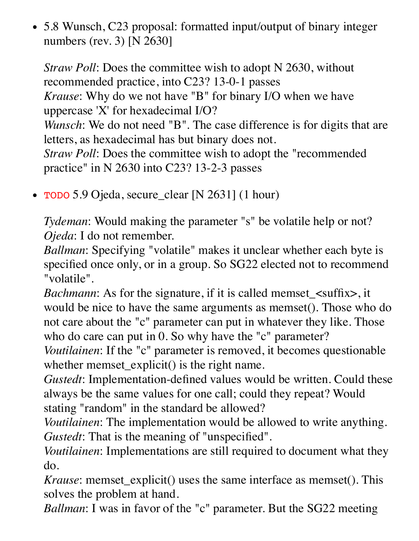5.8 Wunsch, C23 proposal: formatted input/output of binary integer numbers (rev. 3) [N 2630]

*Straw Poll:* Does the committee wish to adopt N 2630, without recommended practice, into C23? 13-0-1 passes *Krause*: Why do we not have "B" for binary I/O when we have uppercase 'X' for hexadecimal I/O? *Wunsch*: We do not need "B". The case difference is for digits that are letters, as hexadecimal has but binary does not. *Straw Poll*: Does the committee wish to adopt the "recommended practice" in N 2630 into C23? 13-2-3 passes

TODO 5.9 Ojeda, secure\_clear [N 2631] (1 hour)

*Tydeman*: Would making the parameter "s" be volatile help or not? *Ojeda*: I do not remember.

*Ballman*: Specifying "volatile" makes it unclear whether each byte is specified once only, or in a group. So SG22 elected not to recommend "volatile".

*Bachmann*: As for the signature, if it is called memset\_<suffix>, it would be nice to have the same arguments as memset(). Those who do not care about the "c" parameter can put in whatever they like. Those who do care can put in 0. So why have the "c" parameter?

*Voutilainen*: If the "c" parameter is removed, it becomes questionable whether memset\_explicit() is the right name.

*Gustedt*: Implementation-defined values would be written. Could these always be the same values for one call; could they repeat? Would stating "random" in the standard be allowed?

*Voutilainen*: The implementation would be allowed to write anything. *Gustedt*: That is the meaning of "unspecified".

*Voutilainen*: Implementations are still required to document what they do.

*Krause*: memset\_explicit() uses the same interface as memset(). This solves the problem at hand.

*Ballman*: I was in favor of the "c" parameter. But the SG22 meeting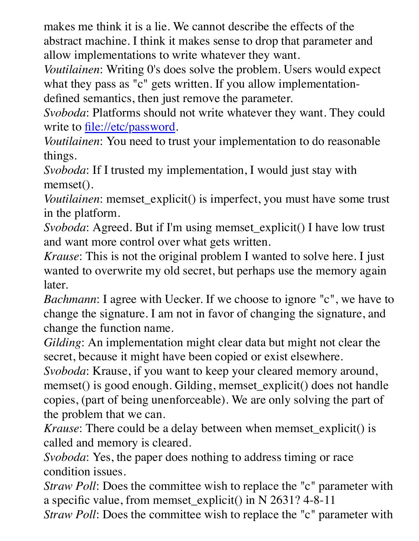makes me think it is a lie. We cannot describe the effects of the abstract machine. I think it makes sense to drop that parameter and allow implementations to write whatever they want.

*Voutilainen*: Writing 0's does solve the problem. Users would expect what they pass as "c" gets written. If you allow implementationdefined semantics, then just remove the parameter.

*Svoboda*: Platforms should not write whatever they want. They could write to<file://etc/password>.

*Voutilainen*: You need to trust your implementation to do reasonable things.

*Svoboda*: If I trusted my implementation, I would just stay with memset().

*Voutilainen*: memset\_explicit() is imperfect, you must have some trust in the platform.

*Svoboda*: Agreed. But if I'm using memset\_explicit() I have low trust and want more control over what gets written.

*Krause*: This is not the original problem I wanted to solve here. I just wanted to overwrite my old secret, but perhaps use the memory again later.

*Bachmann*: I agree with Uecker. If we choose to ignore "c", we have to change the signature. I am not in favor of changing the signature, and change the function name.

*Gilding*: An implementation might clear data but might not clear the secret, because it might have been copied or exist elsewhere.

*Svoboda*: Krause, if you want to keep your cleared memory around, memset() is good enough. Gilding, memset\_explicit() does not handle copies, (part of being unenforceable). We are only solving the part of the problem that we can.

*Krause*: There could be a delay between when memset explicit() is called and memory is cleared.

*Svoboda*: Yes, the paper does nothing to address timing or race condition issues.

*Straw Poll*: Does the committee wish to replace the "c" parameter with a specific value, from memset\_explicit() in N 2631? 4-8-11

*Straw Poll*: Does the committee wish to replace the "c" parameter with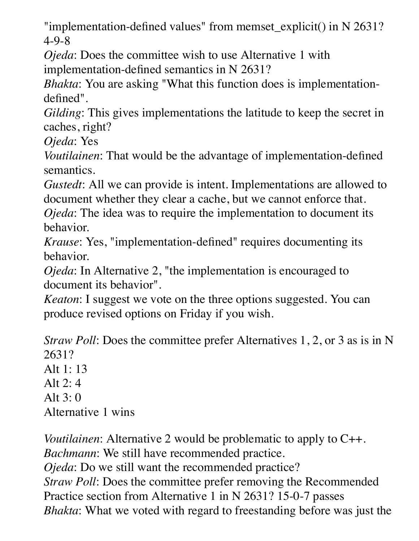"implementation-defined values" from memset\_explicit() in N 2631? 4-9-8

*Ojeda*: Does the committee wish to use Alternative 1 with implementation-defined semantics in N 2631?

*Bhakta*: You are asking "What this function does is implementationdefined".

*Gilding*: This gives implementations the latitude to keep the secret in caches, right?

*Ojeda*: Yes

*Voutilainen*: That would be the advantage of implementation-defined semantics.

*Gustedt*: All we can provide is intent. Implementations are allowed to document whether they clear a cache, but we cannot enforce that.

*Ojeda*: The idea was to require the implementation to document its behavior.

*Krause*: Yes, "implementation-defined" requires documenting its behavior.

*Ojeda*: In Alternative 2, "the implementation is encouraged to document its behavior".

*Keaton*: I suggest we vote on the three options suggested. You can produce revised options on Friday if you wish.

*Straw Poll:* Does the committee prefer Alternatives 1, 2, or 3 as is in N 2631? Alt  $1: 13$ Alt 2: 4 Alt 3: 0 Alternative 1 wins

*Voutilainen*: Alternative 2 would be problematic to apply to C++. *Bachmann*: We still have recommended practice. *Ojeda*: Do we still want the recommended practice? *Straw Poll*: Does the committee prefer removing the Recommended Practice section from Alternative 1 in N 2631? 15-0-7 passes *Bhakta*: What we voted with regard to freestanding before was just the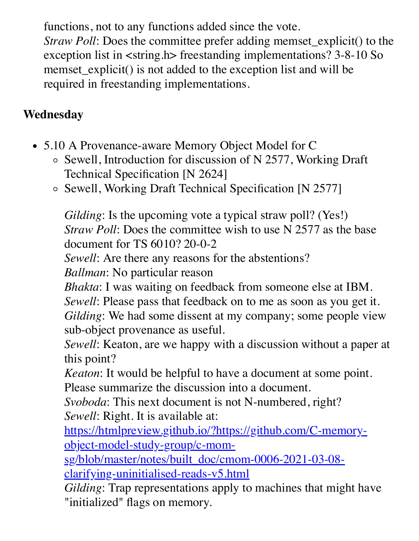functions, not to any functions added since the vote. *Straw Poll*: Does the committee prefer adding memset\_explicit() to the exception list in <string.h> freestanding implementations? 3-8-10 So memset\_explicit() is not added to the exception list and will be required in freestanding implementations.

### **Wednesday**

- 5.10 A Provenance-aware Memory Object Model for C
	- o Sewell, Introduction for discussion of N 2577, Working Draft Technical Specification [N 2624]
	- Sewell, Working Draft Technical Specification [N 2577]

*Gilding*: Is the upcoming vote a typical straw poll? (Yes!) *Straw Poll:* Does the committee wish to use N 2577 as the base document for TS 6010? 20-0-2

*Sewell*: Are there any reasons for the abstentions?

*Ballman*: No particular reason

*Bhakta*: I was waiting on feedback from someone else at IBM. *Sewell*: Please pass that feedback on to me as soon as you get it.

*Gilding*: We had some dissent at my company; some people view sub-object provenance as useful.

*Sewell*: Keaton, are we happy with a discussion without a paper at this point?

*Keaton*: It would be helpful to have a document at some point. Please summarize the discussion into a document.

*Svoboda*: This next document is not N-numbered, right? *Sewell*: Right. It is available at:

[https://htmlpreview.github.io/?https://github.com/C-memory](https://htmlpreview.github.io/?https://github.com/C-memory-object-model-study-group/c-mom-sg/blob/master/notes/built_doc/cmom-0006-2021-03-08-clarifying-uninitialised-reads-v5.html)object-model-study-group/c-mom-

sg/blob/master/notes/built\_doc/cmom-0006-2021-03-08 clarifying-uninitialised-reads-v5.html

*Gilding*: Trap representations apply to machines that might have "initialized" flags on memory.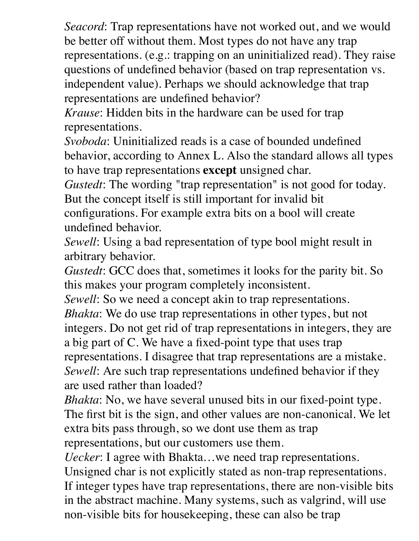*Seacord*: Trap representations have not worked out, and we would be better off without them. Most types do not have any trap representations. (e.g.: trapping on an uninitialized read). They raise questions of undefined behavior (based on trap representation vs. independent value). Perhaps we should acknowledge that trap representations are undefined behavior?

*Krause*: Hidden bits in the hardware can be used for trap representations.

*Svoboda*: Uninitialized reads is a case of bounded undefined behavior, according to Annex L. Also the standard allows all types to have trap representations **except** unsigned char.

*Gustedt*: The wording "trap representation" is not good for today. But the concept itself is still important for invalid bit configurations. For example extra bits on a bool will create

undefined behavior.

*Sewell*: Using a bad representation of type bool might result in arbitrary behavior.

*Gustedt*: GCC does that, sometimes it looks for the parity bit. So this makes your program completely inconsistent.

*Sewell*: So we need a concept akin to trap representations.

*Bhakta*: We do use trap representations in other types, but not integers. Do not get rid of trap representations in integers, they are a big part of C. We have a fixed-point type that uses trap representations. I disagree that trap representations are a mistake. *Sewell*: Are such trap representations undefined behavior if they are used rather than loaded?

*Bhakta*: No, we have several unused bits in our fixed-point type. The first bit is the sign, and other values are non-canonical. We let extra bits pass through, so we dont use them as trap representations, but our customers use them.

*Uecker*: I agree with Bhakta…we need trap representations. Unsigned char is not explicitly stated as non-trap representations. If integer types have trap representations, there are non-visible bits in the abstract machine. Many systems, such as valgrind, will use non-visible bits for housekeeping, these can also be trap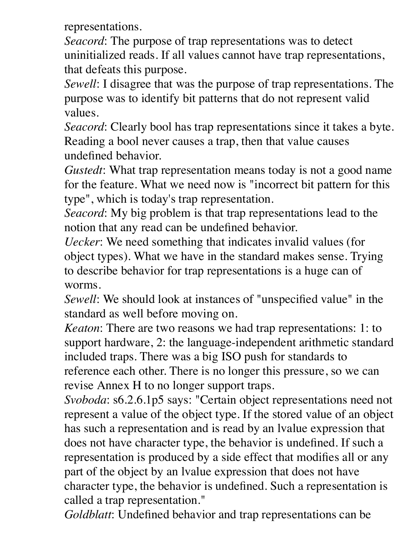representations.

*Seacord*: The purpose of trap representations was to detect uninitialized reads. If all values cannot have trap representations, that defeats this purpose.

*Sewell*: I disagree that was the purpose of trap representations. The purpose was to identify bit patterns that do not represent valid values.

*Seacord*: Clearly bool has trap representations since it takes a byte. Reading a bool never causes a trap, then that value causes undefined behavior.

*Gustedt*: What trap representation means today is not a good name for the feature. What we need now is "incorrect bit pattern for this type", which is today's trap representation.

*Seacord*: My big problem is that trap representations lead to the notion that any read can be undefined behavior.

*Uecker*: We need something that indicates invalid values (for object types). What we have in the standard makes sense. Trying to describe behavior for trap representations is a huge can of worms.

*Sewell*: We should look at instances of "unspecified value" in the standard as well before moving on.

*Keaton*: There are two reasons we had trap representations: 1: to support hardware, 2: the language-independent arithmetic standard included traps. There was a big ISO push for standards to reference each other. There is no longer this pressure, so we can revise Annex H to no longer support traps.

*Svoboda*: s6.2.6.1p5 says: "Certain object representations need not represent a value of the object type. If the stored value of an object has such a representation and is read by an lvalue expression that does not have character type, the behavior is undefined. If such a representation is produced by a side effect that modifies all or any part of the object by an lvalue expression that does not have character type, the behavior is undefined. Such a representation is called a trap representation."

*Goldblatt*: Undefined behavior and trap representations can be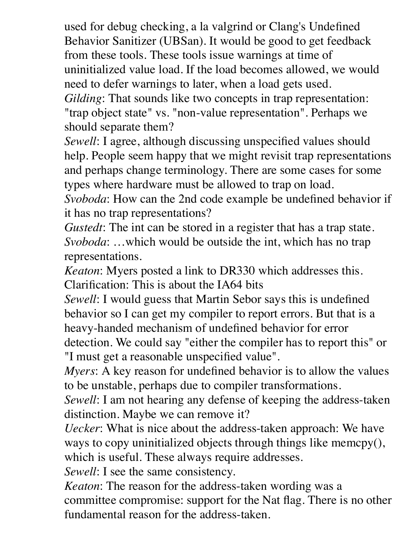used for debug checking, a la valgrind or Clang's Undefined Behavior Sanitizer (UBSan). It would be good to get feedback from these tools. These tools issue warnings at time of uninitialized value load. If the load becomes allowed, we would need to defer warnings to later, when a load gets used. *Gilding*: That sounds like two concepts in trap representation: "trap object state" vs. "non-value representation". Perhaps we should separate them?

*Sewell*: I agree, although discussing unspecified values should help. People seem happy that we might revisit trap representations and perhaps change terminology. There are some cases for some types where hardware must be allowed to trap on load.

*Svoboda*: How can the 2nd code example be undefined behavior if it has no trap representations?

*Gustedt*: The int can be stored in a register that has a trap state. *Svoboda*: …which would be outside the int, which has no trap representations.

*Keaton*: Myers posted a link to DR330 which addresses this. Clarification: This is about the IA64 bits

*Sewell*: I would guess that Martin Sebor says this is undefined behavior so I can get my compiler to report errors. But that is a heavy-handed mechanism of undefined behavior for error detection. We could say "either the compiler has to report this" or "I must get a reasonable unspecified value".

*Myers*: A key reason for undefined behavior is to allow the values to be unstable, perhaps due to compiler transformations.

*Sewell*: I am not hearing any defense of keeping the address-taken distinction. Maybe we can remove it?

*Uecker*: What is nice about the address-taken approach: We have ways to copy uninitialized objects through things like memcpy(), which is useful. These always require addresses.

*Sewell*: I see the same consistency.

*Keaton*: The reason for the address-taken wording was a committee compromise: support for the Nat flag. There is no other fundamental reason for the address-taken.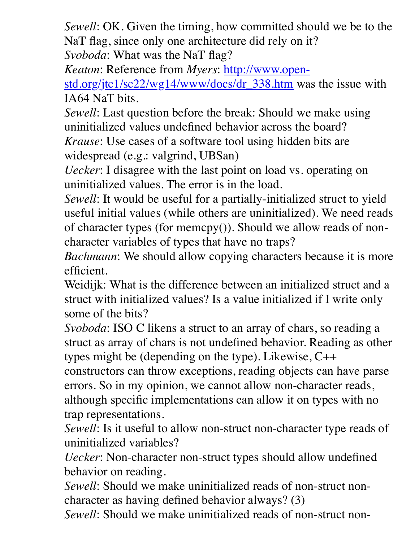*Sewell*: OK. Given the timing, how committed should we be to the NaT flag, since only one architecture did rely on it? *Svoboda*: What was the NaT flag?

*Keaton*: Reference from *Myers*: http://www.open-

[std.org/jtc1/sc22/wg14/www/docs/dr\\_338.htm wa](http://www.open-std.org/jtc1/sc22/wg14/www/docs/dr_338.htm)s the issue with IA64 NaT bits.

*Sewell*: Last question before the break: Should we make using uninitialized values undefined behavior across the board? *Krause*: Use cases of a software tool using hidden bits are

widespread (e.g.: valgrind, UBSan)

*Uecker*: I disagree with the last point on load vs. operating on uninitialized values. The error is in the load.

*Sewell*: It would be useful for a partially-initialized struct to yield useful initial values (while others are uninitialized). We need reads of character types (for memcpy()). Should we allow reads of noncharacter variables of types that have no traps?

*Bachmann*: We should allow copying characters because it is more efficient.

Weidijk: What is the difference between an initialized struct and a struct with initialized values? Is a value initialized if I write only some of the bits?

*Svoboda*: ISO C likens a struct to an array of chars, so reading a struct as array of chars is not undefined behavior. Reading as other types might be (depending on the type). Likewise, C++

constructors can throw exceptions, reading objects can have parse errors. So in my opinion, we cannot allow non-character reads, although specific implementations can allow it on types with no trap representations.

*Sewell*: Is it useful to allow non-struct non-character type reads of uninitialized variables?

*Uecker*: Non-character non-struct types should allow undefined behavior on reading.

*Sewell*: Should we make uninitialized reads of non-struct noncharacter as having defined behavior always? (3)

*Sewell*: Should we make uninitialized reads of non-struct non-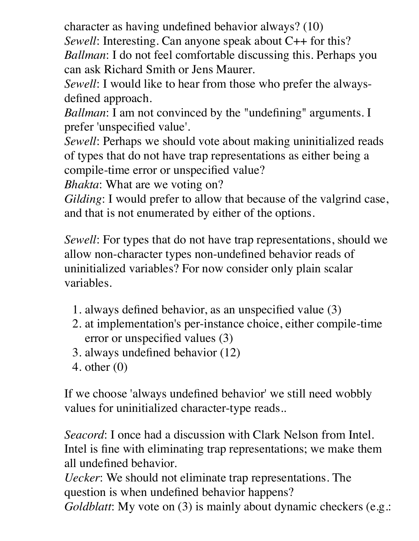character as having undefined behavior always? (10) *Sewell*: Interesting. Can anyone speak about C++ for this? *Ballman*: I do not feel comfortable discussing this. Perhaps you can ask Richard Smith or Jens Maurer.

*Sewell*: I would like to hear from those who prefer the alwaysdefined approach.

*Ballman*: I am not convinced by the "undefining" arguments. I prefer 'unspecified value'.

*Sewell*: Perhaps we should vote about making uninitialized reads of types that do not have trap representations as either being a compile-time error or unspecified value?

*Bhakta*: What are we voting on?

*Gilding*: I would prefer to allow that because of the valgrind case, and that is not enumerated by either of the options.

*Sewell*: For types that do not have trap representations, should we allow non-character types non-undefined behavior reads of uninitialized variables? For now consider only plain scalar variables.

- 1. always defined behavior, as an unspecified value (3)
- 2. at implementation's per-instance choice, either compile-time error or unspecified values (3)
- 3. always undefined behavior (12)
- 4. other (0)

If we choose 'always undefined behavior' we still need wobbly values for uninitialized character-type reads..

*Seacord*: I once had a discussion with Clark Nelson from Intel. Intel is fine with eliminating trap representations; we make them all undefined behavior.

*Uecker*: We should not eliminate trap representations. The question is when undefined behavior happens? *Goldblatt*: My vote on (3) is mainly about dynamic checkers (e.g.: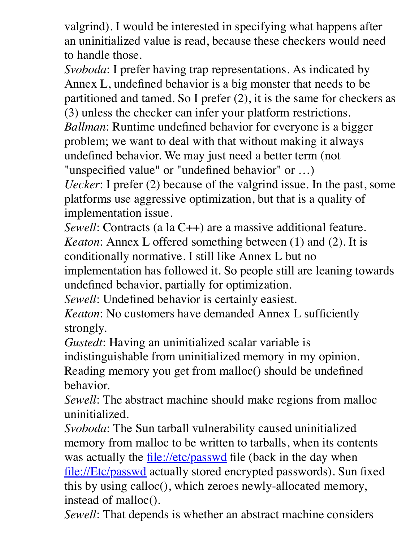valgrind). I would be interested in specifying what happens after an uninitialized value is read, because these checkers would need to handle those.

*Svoboda*: I prefer having trap representations. As indicated by Annex L, undefined behavior is a big monster that needs to be partitioned and tamed. So I prefer (2), it is the same for checkers as (3) unless the checker can infer your platform restrictions. *Ballman*: Runtime undefined behavior for everyone is a bigger problem; we want to deal with that without making it always undefined behavior. We may just need a better term (not "unspecified value" or "undefined behavior" or …)

*Uecker*: I prefer (2) because of the valgrind issue. In the past, some platforms use aggressive optimization, but that is a quality of implementation issue.

*Sewell*: Contracts (a la C++) are a massive additional feature.

*Keaton*: Annex L offered something between (1) and (2). It is conditionally normative. I still like Annex L but no

implementation has followed it. So people still are leaning towards undefined behavior, partially for optimization.

*Sewell*: Undefined behavior is certainly easiest.

*Keaton*: No customers have demanded Annex L sufficiently strongly.

*Gustedt*: Having an uninitialized scalar variable is indistinguishable from uninitialized memory in my opinion. Reading memory you get from malloc() should be undefined behavior.

*Sewell*: The abstract machine should make regions from malloc uninitialized.

*Svoboda*: The Sun tarball vulnerability caused uninitialized memory from malloc to be written to tarballs, when its contents was actually the <file://etc/passwd> file (back in the day when [file://Etc/passwd](file://etc/passwd) actually stored encrypted passwords). Sun fixed this by using calloc(), which zeroes newly-allocated memory, instead of malloc().

*Sewell*: That depends is whether an abstract machine considers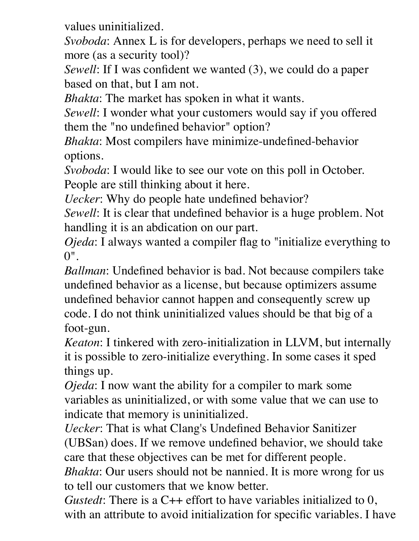values uninitialized.

*Svoboda*: Annex L is for developers, perhaps we need to sell it more (as a security tool)?

*Sewell*: If I was confident we wanted (3), we could do a paper based on that, but I am not.

*Bhakta*: The market has spoken in what it wants.

*Sewell*: I wonder what your customers would say if you offered them the "no undefined behavior" option?

*Bhakta*: Most compilers have minimize-undefined-behavior options.

*Svoboda*: I would like to see our vote on this poll in October. People are still thinking about it here.

*Uecker*: Why do people hate undefined behavior?

*Sewell*: It is clear that undefined behavior is a huge problem. Not handling it is an abdication on our part.

*Ojeda*: I always wanted a compiler flag to "initialize everything to  $0"$ .

*Ballman*: Undefined behavior is bad. Not because compilers take undefined behavior as a license, but because optimizers assume undefined behavior cannot happen and consequently screw up code. I do not think uninitialized values should be that big of a foot-gun.

*Keaton*: I tinkered with zero-initialization in LLVM, but internally it is possible to zero-initialize everything. In some cases it sped things up.

*Ojeda*: I now want the ability for a compiler to mark some variables as uninitialized, or with some value that we can use to indicate that memory is uninitialized.

*Uecker*: That is what Clang's Undefined Behavior Sanitizer (UBSan) does. If we remove undefined behavior, we should take care that these objectives can be met for different people.

*Bhakta*: Our users should not be nannied. It is more wrong for us to tell our customers that we know better.

*Gustedt*: There is a C++ effort to have variables initialized to 0, with an attribute to avoid initialization for specific variables. I have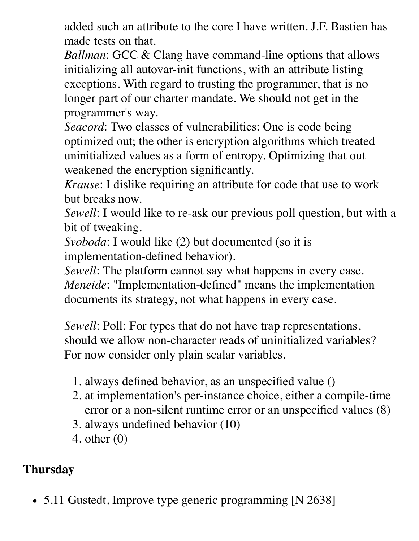added such an attribute to the core I have written. J.F. Bastien has made tests on that.

*Ballman*: GCC & Clang have command-line options that allows initializing all autovar-init functions, with an attribute listing exceptions. With regard to trusting the programmer, that is no longer part of our charter mandate. We should not get in the programmer's way.

*Seacord*: Two classes of vulnerabilities: One is code being optimized out; the other is encryption algorithms which treated uninitialized values as a form of entropy. Optimizing that out weakened the encryption significantly.

*Krause*: I dislike requiring an attribute for code that use to work but breaks now.

*Sewell*: I would like to re-ask our previous poll question, but with a bit of tweaking.

*Svoboda*: I would like (2) but documented (so it is implementation-defined behavior).

*Sewell*: The platform cannot say what happens in every case. *Meneide*: "Implementation-defined" means the implementation documents its strategy, not what happens in every case.

*Sewell*: Poll: For types that do not have trap representations, should we allow non-character reads of uninitialized variables? For now consider only plain scalar variables.

- 1. always defined behavior, as an unspecified value ()
- 2. at implementation's per-instance choice, either a compile-time error or a non-silent runtime error or an unspecified values (8)
- 3. always undefined behavior (10)
- 4. other (0)

## **Thursday**

• 5.11 Gustedt, Improve type generic programming [N 2638]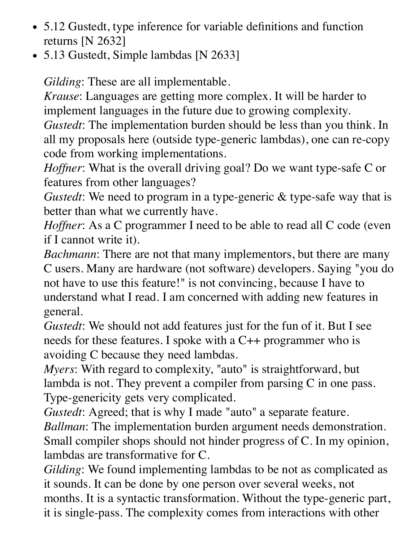- 5.12 Gustedt, type inference for variable definitions and function returns [N 2632]
- 5.13 Gustedt, Simple lambdas [N 2633]

*Gilding*: These are all implementable.

*Krause*: Languages are getting more complex. It will be harder to implement languages in the future due to growing complexity.

*Gustedt*: The implementation burden should be less than you think. In all my proposals here (outside type-generic lambdas), one can re-copy code from working implementations.

*Hoffner*: What is the overall driving goal? Do we want type-safe C or features from other languages?

*Gustedt*: We need to program in a type-generic & type-safe way that is better than what we currently have.

*Hoffner*: As a C programmer I need to be able to read all C code (even if I cannot write it).

*Bachmann*: There are not that many implementors, but there are many C users. Many are hardware (not software) developers. Saying "you do not have to use this feature!" is not convincing, because I have to understand what I read. I am concerned with adding new features in general.

*Gustedt*: We should not add features just for the fun of it. But I see needs for these features. I spoke with a C++ programmer who is avoiding C because they need lambdas.

*Myers*: With regard to complexity, "auto" is straightforward, but lambda is not. They prevent a compiler from parsing C in one pass. Type-genericity gets very complicated.

*Gustedt*: Agreed; that is why I made "auto" a separate feature. *Ballman*: The implementation burden argument needs demonstration. Small compiler shops should not hinder progress of C. In my opinion, lambdas are transformative for C.

*Gilding*: We found implementing lambdas to be not as complicated as it sounds. It can be done by one person over several weeks, not months. It is a syntactic transformation. Without the type-generic part, it is single-pass. The complexity comes from interactions with other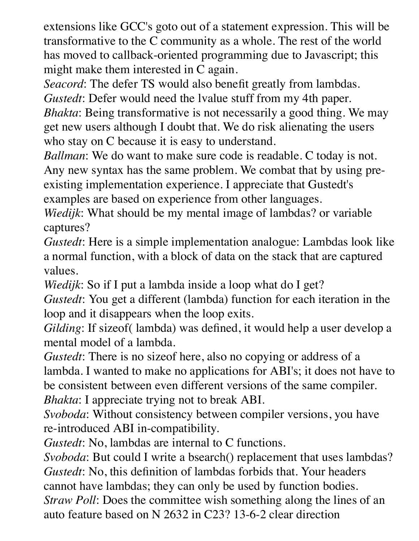extensions like GCC's goto out of a statement expression. This will be transformative to the C community as a whole. The rest of the world has moved to callback-oriented programming due to Javascript; this might make them interested in C again.

*Seacord*: The defer TS would also benefit greatly from lambdas. *Gustedt*: Defer would need the lvalue stuff from my 4th paper.

*Bhakta*: Being transformative is not necessarily a good thing. We may get new users although I doubt that. We do risk alienating the users who stay on C because it is easy to understand.

*Ballman*: We do want to make sure code is readable. C today is not. Any new syntax has the same problem. We combat that by using preexisting implementation experience. I appreciate that Gustedt's examples are based on experience from other languages.

*Wiedijk*: What should be my mental image of lambdas? or variable captures?

*Gustedt*: Here is a simple implementation analogue: Lambdas look like a normal function, with a block of data on the stack that are captured values.

*Wiedijk*: So if I put a lambda inside a loop what do I get?

*Gustedt*: You get a different (lambda) function for each iteration in the loop and it disappears when the loop exits.

*Gilding*: If sizeof( lambda) was defined, it would help a user develop a mental model of a lambda.

*Gustedt*: There is no sizeof here, also no copying or address of a lambda. I wanted to make no applications for ABI's; it does not have to be consistent between even different versions of the same compiler. *Bhakta*: I appreciate trying not to break ABI.

*Svoboda*: Without consistency between compiler versions, you have re-introduced ABI in-compatibility.

*Gustedt*: No, lambdas are internal to C functions.

*Svoboda*: But could I write a bsearch() replacement that uses lambdas? *Gustedt*: No, this definition of lambdas forbids that. Your headers cannot have lambdas; they can only be used by function bodies. *Straw Poll*: Does the committee wish something along the lines of an auto feature based on N 2632 in C23? 13-6-2 clear direction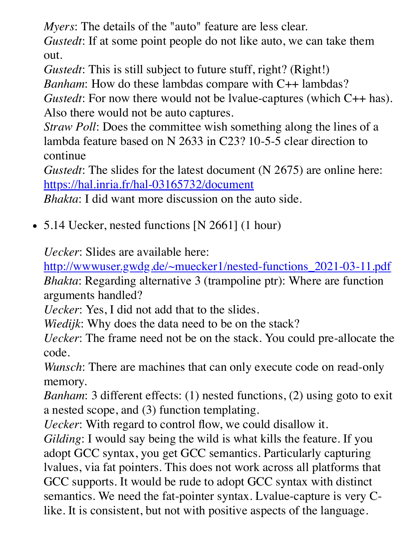*Myers*: The details of the "auto" feature are less clear.

*Gustedt*: If at some point people do not like auto, we can take them out.

*Gustedt*: This is still subject to future stuff, right? (Right!)

*Banham*: How do these lambdas compare with C++ lambdas?

*Gustedt*: For now there would not be lvalue-captures (which C++ has). Also there would not be auto captures.

*Straw Poll*: Does the committee wish something along the lines of a lambda feature based on N 2633 in C23? 10-5-5 clear direction to continue

*Gustedt*: The slides for the latest document (N 2675) are online here: <https://hal.inria.fr/hal-03165732/document>

*Bhakta*: I did want more discussion on the auto side.

• 5.14 Uecker, nested functions [N 2661] (1 hour)

*Uecker*: Slides are available here:

[http://wwwuser.gwdg.de/~muecker1/nested-functions\\_2021-03-11.pdf](http://wwwuser.gwdg.de/~muecker1/nested-functions_2021-03-11.pdf) *Bhakta*: Regarding alternative 3 (trampoline ptr): Where are function arguments handled?

*Uecker*: Yes, I did not add that to the slides.

*Wiedijk*: Why does the data need to be on the stack?

*Uecker*: The frame need not be on the stack. You could pre-allocate the code.

*Wunsch*: There are machines that can only execute code on read-only memory.

*Banham*: 3 different effects: (1) nested functions, (2) using goto to exit a nested scope, and (3) function templating.

*Uecker*: With regard to control flow, we could disallow it.

*Gilding*: I would say being the wild is what kills the feature. If you adopt GCC syntax, you get GCC semantics. Particularly capturing lvalues, via fat pointers. This does not work across all platforms that GCC supports. It would be rude to adopt GCC syntax with distinct semantics. We need the fat-pointer syntax. Lvalue-capture is very Clike. It is consistent, but not with positive aspects of the language.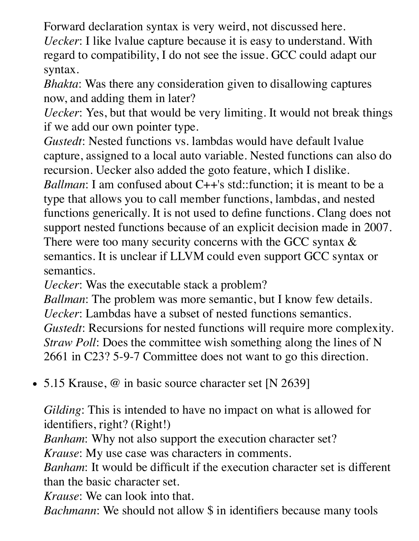Forward declaration syntax is very weird, not discussed here.

*Uecker*: I like lvalue capture because it is easy to understand. With regard to compatibility, I do not see the issue. GCC could adapt our syntax.

*Bhakta*: Was there any consideration given to disallowing captures now, and adding them in later?

*Uecker*: Yes, but that would be very limiting. It would not break things if we add our own pointer type.

*Gustedt*: Nested functions vs. lambdas would have default lvalue capture, assigned to a local auto variable. Nested functions can also do recursion. Uecker also added the goto feature, which I dislike.

*Ballman*: I am confused about C++'s std::function; it is meant to be a type that allows you to call member functions, lambdas, and nested functions generically. It is not used to define functions. Clang does not support nested functions because of an explicit decision made in 2007. There were too many security concerns with the GCC syntax  $\&$ semantics. It is unclear if LLVM could even support GCC syntax or semantics.

*Uecker*: Was the executable stack a problem?

*Ballman*: The problem was more semantic, but I know few details. *Uecker*: Lambdas have a subset of nested functions semantics. *Gustedt*: Recursions for nested functions will require more complexity. *Straw Poll*: Does the committee wish something along the lines of N 2661 in C23? 5-9-7 Committee does not want to go this direction.

• 5.15 Krause, @ in basic source character set [N 2639]

*Gilding*: This is intended to have no impact on what is allowed for identifiers, right? (Right!)

*Banham*: Why not also support the execution character set?

*Krause*: My use case was characters in comments.

*Banham*: It would be difficult if the execution character set is different than the basic character set.

*Krause*: We can look into that.

*Bachmann*: We should not allow \$ in identifiers because many tools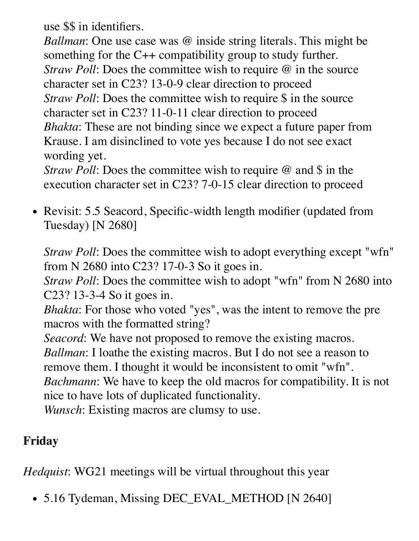use \$\$ in identifiers.

*Ballman*: One use case was @ inside string literals. This might be something for the C++ compatibility group to study further. *Straw Poll:* Does the committee wish to require @ in the source character set in C23? 13-0-9 clear direction to proceed *Straw Poll:* Does the committee wish to require \$ in the source character set in C23? 11-0-11 clear direction to proceed *Bhakta*: These are not binding since we expect a future paper from Krause. I am disinclined to vote yes because I do not see exact wording yet.

*Straw Poll:* Does the committee wish to require @ and \$ in the execution character set in C23? 7-0-15 clear direction to proceed

• Revisit: 5.5 Seacord, Specific-width length modifier (updated from Tuesday) [N 2680]

*Straw Poll:* Does the committee wish to adopt everything except "wfn" from N 2680 into C23? 17-0-3 So it goes in.

*Straw Poll*: Does the committee wish to adopt "wfn" from N 2680 into C23? 13-3-4 So it goes in.

*Bhakta*: For those who voted "yes", was the intent to remove the pre macros with the formatted string?

*Seacord*: We have not proposed to remove the existing macros. *Ballman*: I loathe the existing macros. But I do not see a reason to remove them. I thought it would be inconsistent to omit "wfn". *Bachmann*: We have to keep the old macros for compatibility. It is not nice to have lots of duplicated functionality. *Wunsch*: Existing macros are clumsy to use.

### **Friday**

*Hedquist*: WG21 meetings will be virtual throughout this year

• 5.16 Tydeman, Missing DEC\_EVAL\_METHOD [N 2640]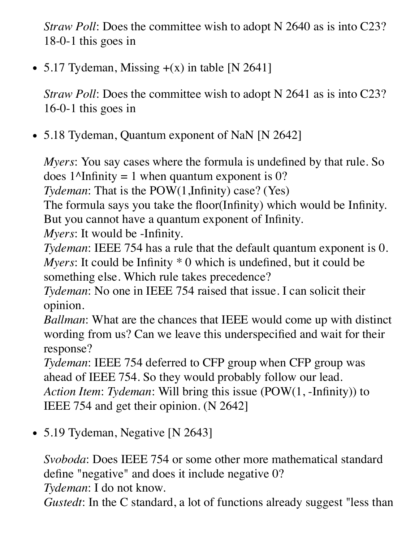*Straw Poll:* Does the committee wish to adopt N 2640 as is into C23? 18-0-1 this goes in

• 5.17 Tydeman, Missing  $+(x)$  in table [N 2641]

*Straw Poll:* Does the committee wish to adopt N 2641 as is into C23? 16-0-1 this goes in

• 5.18 Tydeman, Quantum exponent of NaN [N 2642]

*Myers*: You say cases where the formula is undefined by that rule. So does  $1^{\text{Al}}$ nfinity = 1 when quantum exponent is 0?

*Tydeman*: That is the POW(1,Infinity) case? (Yes)

The formula says you take the floor(Infinity) which would be Infinity. But you cannot have a quantum exponent of Infinity.

*Myers*: It would be -Infinity.

*Tydeman*: IEEE 754 has a rule that the default quantum exponent is 0. *Myers*: It could be Infinity \* 0 which is undefined, but it could be something else. Which rule takes precedence?

*Tydeman*: No one in IEEE 754 raised that issue. I can solicit their opinion.

*Ballman*: What are the chances that IEEE would come up with distinct wording from us? Can we leave this underspecified and wait for their response?

*Tydeman*: IEEE 754 deferred to CFP group when CFP group was ahead of IEEE 754. So they would probably follow our lead. *Action Item*: *Tydeman*: Will bring this issue (POW(1, -Infinity)) to IEEE 754 and get their opinion. (N 2642]

• 5.19 Tydeman, Negative [N 2643]

*Svoboda*: Does IEEE 754 or some other more mathematical standard define "negative" and does it include negative 0?

*Tydeman*: I do not know.

*Gustedt*: In the C standard, a lot of functions already suggest "less than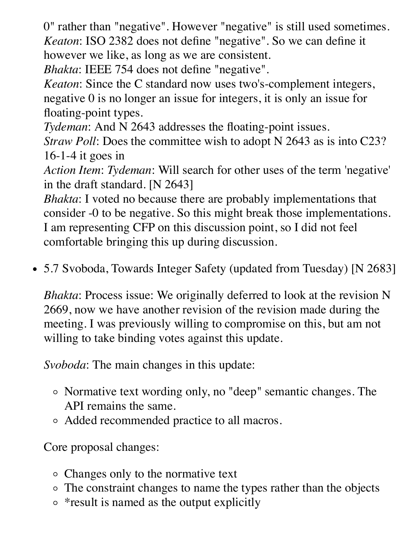0" rather than "negative". However "negative" is still used sometimes. *Keaton*: ISO 2382 does not define "negative". So we can define it however we like, as long as we are consistent.

*Bhakta*: IEEE 754 does not define "negative".

*Keaton*: Since the C standard now uses two's-complement integers, negative 0 is no longer an issue for integers, it is only an issue for floating-point types.

*Tydeman*: And N 2643 addresses the floating-point issues.

*Straw Poll*: Does the committee wish to adopt N 2643 as is into C23? 16-1-4 it goes in

*Action Item*: *Tydeman*: Will search for other uses of the term 'negative' in the draft standard. [N 2643]

*Bhakta*: I voted no because there are probably implementations that consider -0 to be negative. So this might break those implementations. I am representing CFP on this discussion point, so I did not feel comfortable bringing this up during discussion.

• 5.7 Svoboda, Towards Integer Safety (updated from Tuesday) [N 2683]

*Bhakta*: Process issue: We originally deferred to look at the revision N 2669, now we have another revision of the revision made during the meeting. I was previously willing to compromise on this, but am not willing to take binding votes against this update.

*Svoboda*: The main changes in this update:

- Normative text wording only, no "deep" semantic changes. The API remains the same.
- Added recommended practice to all macros.

Core proposal changes:

- Changes only to the normative text
- The constraint changes to name the types rather than the objects
- \* result is named as the output explicitly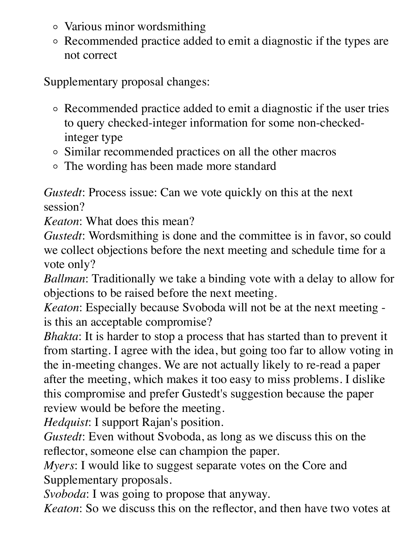- Various minor wordsmithing
- Recommended practice added to emit a diagnostic if the types are not correct

Supplementary proposal changes:

- Recommended practice added to emit a diagnostic if the user tries to query checked-integer information for some non-checkedinteger type
- Similar recommended practices on all the other macros
- The wording has been made more standard

*Gustedt*: Process issue: Can we vote quickly on this at the next session?

*Keaton*: What does this mean?

*Gustedt*: Wordsmithing is done and the committee is in favor, so could we collect objections before the next meeting and schedule time for a vote only?

*Ballman*: Traditionally we take a binding vote with a delay to allow for objections to be raised before the next meeting.

*Keaton*: Especially because Svoboda will not be at the next meeting is this an acceptable compromise?

*Bhakta*: It is harder to stop a process that has started than to prevent it from starting. I agree with the idea, but going too far to allow voting in the in-meeting changes. We are not actually likely to re-read a paper after the meeting, which makes it too easy to miss problems. I dislike this compromise and prefer Gustedt's suggestion because the paper review would be before the meeting.

*Hedquist*: I support Rajan's position.

*Gustedt*: Even without Svoboda, as long as we discuss this on the reflector, someone else can champion the paper.

*Myers*: I would like to suggest separate votes on the Core and Supplementary proposals.

*Svoboda*: I was going to propose that anyway.

*Keaton*: So we discuss this on the reflector, and then have two votes at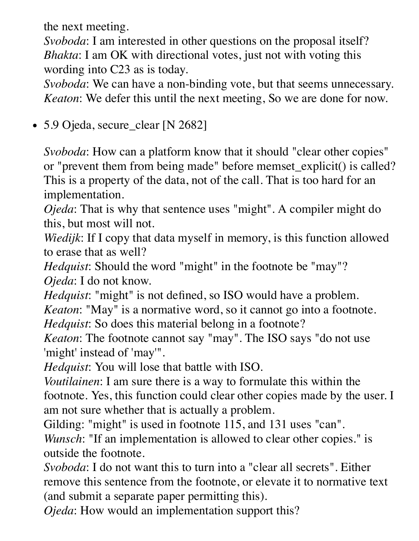the next meeting.

*Svoboda*: I am interested in other questions on the proposal itself? *Bhakta*: I am OK with directional votes, just not with voting this wording into C23 as is today.

*Svoboda*: We can have a non-binding vote, but that seems unnecessary. *Keaton*: We defer this until the next meeting, So we are done for now.

5.9 Ojeda, secure\_clear [N 2682]

*Svoboda*: How can a platform know that it should "clear other copies" or "prevent them from being made" before memset\_explicit() is called? This is a property of the data, not of the call. That is too hard for an implementation.

*Ojeda*: That is why that sentence uses "might". A compiler might do this, but most will not.

*Wiedijk*: If I copy that data myself in memory, is this function allowed to erase that as well?

*Hedquist*: Should the word "might" in the footnote be "may"? *Ojeda*: I do not know.

*Hedquist*: "might" is not defined, so ISO would have a problem.

*Keaton*: "May" is a normative word, so it cannot go into a footnote. *Hedquist*: So does this material belong in a footnote?

*Keaton*: The footnote cannot say "may". The ISO says "do not use 'might' instead of 'may'".

*Hedquist*: You will lose that battle with ISO.

*Voutilainen*: I am sure there is a way to formulate this within the footnote. Yes, this function could clear other copies made by the user. I am not sure whether that is actually a problem.

Gilding: "might" is used in footnote 115, and 131 uses "can". *Wunsch*: "If an implementation is allowed to clear other copies." is outside the footnote.

*Svoboda*: I do not want this to turn into a "clear all secrets". Either remove this sentence from the footnote, or elevate it to normative text (and submit a separate paper permitting this).

*Ojeda*: How would an implementation support this?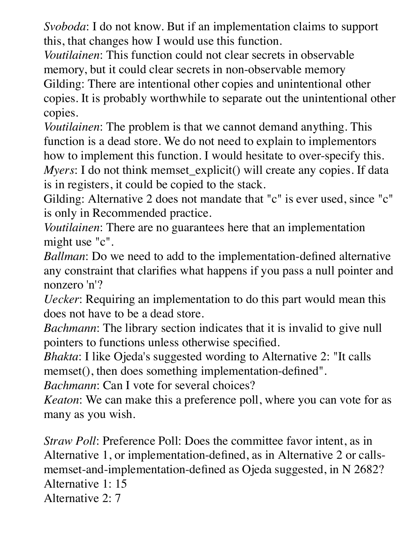*Svoboda*: I do not know. But if an implementation claims to support this, that changes how I would use this function.

*Voutilainen*: This function could not clear secrets in observable memory, but it could clear secrets in non-observable memory Gilding: There are intentional other copies and unintentional other copies. It is probably worthwhile to separate out the unintentional other copies.

*Voutilainen*: The problem is that we cannot demand anything. This function is a dead store. We do not need to explain to implementors how to implement this function. I would hesitate to over-specify this. *Myers*: I do not think memset\_explicit() will create any copies. If data is in registers, it could be copied to the stack.

Gilding: Alternative 2 does not mandate that "c" is ever used, since "c" is only in Recommended practice.

*Voutilainen*: There are no guarantees here that an implementation might use "c".

*Ballman*: Do we need to add to the implementation-defined alternative any constraint that clarifies what happens if you pass a null pointer and nonzero 'n'?

*Uecker*: Requiring an implementation to do this part would mean this does not have to be a dead store.

*Bachmann*: The library section indicates that it is invalid to give null pointers to functions unless otherwise specified.

*Bhakta*: I like Ojeda's suggested wording to Alternative 2: "It calls memset(), then does something implementation-defined".

*Bachmann*: Can I vote for several choices?

*Keaton*: We can make this a preference poll, where you can vote for as many as you wish.

*Straw Poll*: Preference Poll: Does the committee favor intent, as in Alternative 1, or implementation-defined, as in Alternative 2 or callsmemset-and-implementation-defined as Ojeda suggested, in N 2682? Alternative 1: 15 Alternative 2: 7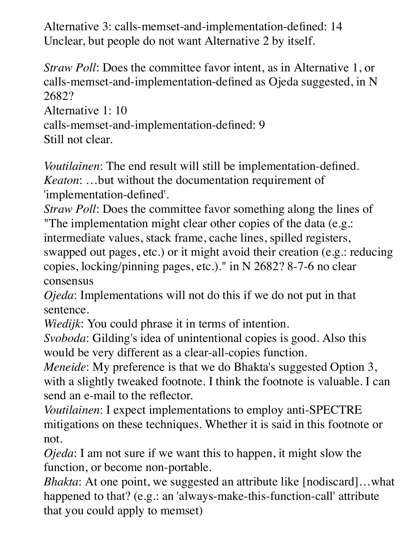Alternative 3: calls-memset-and-implementation-defined: 14 Unclear, but people do not want Alternative 2 by itself.

*Straw Poll*: Does the committee favor intent, as in Alternative 1, or calls-memset-and-implementation-defined as Ojeda suggested, in N 2682?

Alternative 1: 10

```
calls-memset-and-implementation-defined: 9
```
Still not clear.

*Voutilainen*: The end result will still be implementation-defined. *Keaton*: …but without the documentation requirement of 'implementation-defined'.

*Straw Poll*: Does the committee favor something along the lines of "The implementation might clear other copies of the data (e.g.: intermediate values, stack frame, cache lines, spilled registers, swapped out pages, etc.) or it might avoid their creation (e.g.: reducing copies, locking/pinning pages, etc.)." in N 2682? 8-7-6 no clear consensus

*Ojeda*: Implementations will not do this if we do not put in that sentence.

*Wiedijk*: You could phrase it in terms of intention.

*Svoboda*: Gilding's idea of unintentional copies is good. Also this would be very different as a clear-all-copies function.

*Meneide*: My preference is that we do Bhakta's suggested Option 3, with a slightly tweaked footnote. I think the footnote is valuable. I can send an e-mail to the reflector.

*Voutilainen*: I expect implementations to employ anti-SPECTRE mitigations on these techniques. Whether it is said in this footnote or not.

*Ojeda*: I am not sure if we want this to happen, it might slow the function, or become non-portable.

*Bhakta*: At one point, we suggested an attribute like [nodiscard]…what happened to that? (e.g.: an 'always-make-this-function-call' attribute that you could apply to memset)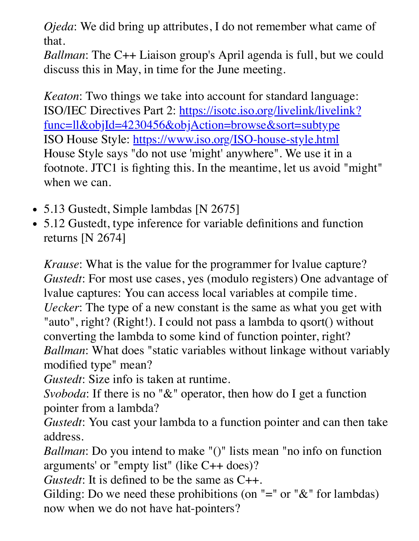*Ojeda*: We did bring up attributes, I do not remember what came of that.

*Ballman*: The C++ Liaison group's April agenda is full, but we could discuss this in May, in time for the June meeting.

*Keaton*: Two things we take into account for standard language: [ISO/IEC Directives Part 2: https://isotc.iso.org/livelink/livelink?](https://isotc.iso.org/livelink/livelink?func=ll&objId=4230456&objAction=browse&sort=subtype) func=ll&objId=4230456&objAction=browse&sort=subtype ISO House Style: <https://www.iso.org/ISO-house-style.html> House Style says "do not use 'might' anywhere". We use it in a footnote. JTC1 is fighting this. In the meantime, let us avoid "might" when we can.

- 5.13 Gustedt, Simple lambdas [N 2675]
- 5.12 Gustedt, type inference for variable definitions and function returns [N 2674]

*Krause*: What is the value for the programmer for lvalue capture? *Gustedt*: For most use cases, yes (modulo registers) One advantage of lvalue captures: You can access local variables at compile time. *Uecker*: The type of a new constant is the same as what you get with "auto", right? (Right!). I could not pass a lambda to qsort() without converting the lambda to some kind of function pointer, right? *Ballman*: What does "static variables without linkage without variably modified type" mean?

*Gustedt*: Size info is taken at runtime.

*Svoboda*: If there is no "&" operator, then how do I get a function pointer from a lambda?

*Gustedt*: You cast your lambda to a function pointer and can then take address.

*Ballman*: Do you intend to make "()" lists mean "no info on function arguments' or "empty list" (like C++ does)?

*Gustedt*: It is defined to be the same as C++.

Gilding: Do we need these prohibitions (on  $" ="$  or  $"\&"$  for lambdas) now when we do not have hat-pointers?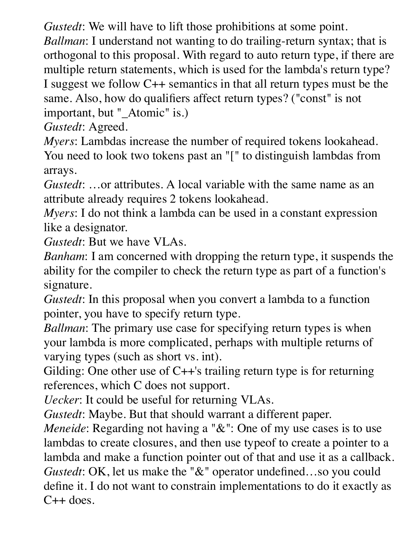*Gustedt*: We will have to lift those prohibitions at some point.

*Ballman*: I understand not wanting to do trailing-return syntax; that is orthogonal to this proposal. With regard to auto return type, if there are multiple return statements, which is used for the lambda's return type? I suggest we follow C++ semantics in that all return types must be the same. Also, how do qualifiers affect return types? ("const" is not important, but "\_Atomic" is.)

*Gustedt*: Agreed.

*Myers*: Lambdas increase the number of required tokens lookahead. You need to look two tokens past an "[" to distinguish lambdas from arrays.

*Gustedt*: …or attributes. A local variable with the same name as an attribute already requires 2 tokens lookahead.

*Myers*: I do not think a lambda can be used in a constant expression like a designator.

*Gustedt*: But we have VLAs.

*Banham*: I am concerned with dropping the return type, it suspends the ability for the compiler to check the return type as part of a function's signature.

*Gustedt*: In this proposal when you convert a lambda to a function pointer, you have to specify return type.

*Ballman*: The primary use case for specifying return types is when your lambda is more complicated, perhaps with multiple returns of varying types (such as short vs. int).

Gilding: One other use of C++'s trailing return type is for returning references, which C does not support.

*Uecker*: It could be useful for returning VLAs.

*Gustedt*: Maybe. But that should warrant a different paper.

*Meneide*: Regarding not having a "&": One of my use cases is to use lambdas to create closures, and then use typeof to create a pointer to a lambda and make a function pointer out of that and use it as a callback. *Gustedt*: OK, let us make the "&" operator undefined…so you could define it. I do not want to constrain implementations to do it exactly as  $C++$  does.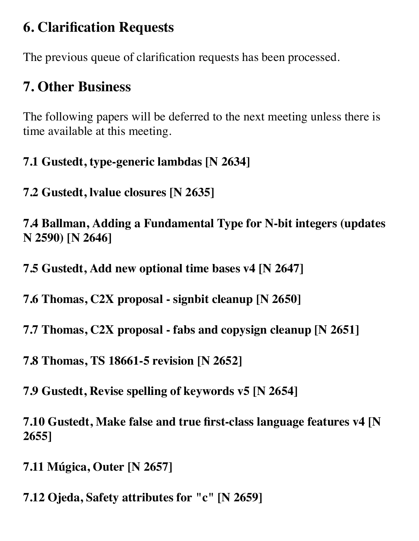## **6. Clarification Requests**

The previous queue of clarification requests has been processed.

## **7. Other Business**

The following papers will be deferred to the next meeting unless there is time available at this meeting.

**7.1 Gustedt, type-generic lambdas [N 2634]**

**7.2 Gustedt, lvalue closures [N 2635]**

**7.4 Ballman, Adding a Fundamental Type for N-bit integers (updates N 2590) [N 2646]**

**7.5 Gustedt, Add new optional time bases v4 [N 2647]**

**7.6 Thomas, C2X proposal - signbit cleanup [N 2650]**

**7.7 Thomas, C2X proposal - fabs and copysign cleanup [N 2651]**

**7.8 Thomas, TS 18661-5 revision [N 2652]**

**7.9 Gustedt, Revise spelling of keywords v5 [N 2654]**

**7.10 Gustedt, Make false and true first-class language features v4 [N 2655]**

**7.11 Múgica, Outer [N 2657]**

**7.12 Ojeda, Safety attributes for "c" [N 2659]**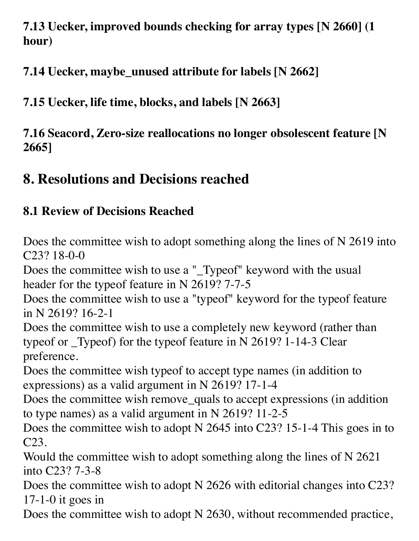**7.13 Uecker, improved bounds checking for array types [N 2660] (1 hour)**

**7.14 Uecker, maybe\_unused attribute for labels [N 2662]**

**7.15 Uecker, life time, blocks, and labels [N 2663]**

**7.16 Seacord, Zero-size reallocations no longer obsolescent feature [N 2665]**

## **8. Resolutions and Decisions reached**

### **8.1 Review of Decisions Reached**

Does the committee wish to adopt something along the lines of N 2619 into C23? 18-0-0

Does the committee wish to use a "\_Typeof" keyword with the usual header for the typeof feature in N 2619? 7-7-5

Does the committee wish to use a "typeof" keyword for the typeof feature in N 2619? 16-2-1

Does the committee wish to use a completely new keyword (rather than typeof or \_Typeof) for the typeof feature in N 2619? 1-14-3 Clear preference.

Does the committee wish typeof to accept type names (in addition to expressions) as a valid argument in N 2619? 17-1-4

Does the committee wish remove\_quals to accept expressions (in addition to type names) as a valid argument in N 2619? 11-2-5

Does the committee wish to adopt N 2645 into C23? 15-1-4 This goes in to C23.

Would the committee wish to adopt something along the lines of N 2621 into C23? 7-3-8

Does the committee wish to adopt N 2626 with editorial changes into C23? 17-1-0 it goes in

Does the committee wish to adopt N 2630, without recommended practice,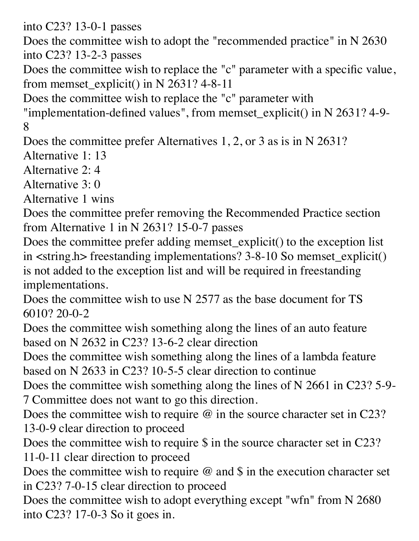into C23? 13-0-1 passes

Does the committee wish to adopt the "recommended practice" in N 2630 into C23? 13-2-3 passes

Does the committee wish to replace the "c" parameter with a specific value, from memset\_explicit() in N 2631? 4-8-11

Does the committee wish to replace the "c" parameter with

"implementation-defined values", from memset\_explicit() in N 2631? 4-9- 8

Does the committee prefer Alternatives 1, 2, or 3 as is in N 2631?

Alternative 1: 13

Alternative 2: 4

Alternative 3: 0

Alternative 1 wins

Does the committee prefer removing the Recommended Practice section from Alternative 1 in N 2631? 15-0-7 passes

Does the committee prefer adding memset\_explicit() to the exception list in <string.h> freestanding implementations? 3-8-10 So memset\_explicit() is not added to the exception list and will be required in freestanding implementations.

Does the committee wish to use N 2577 as the base document for TS 6010? 20-0-2

Does the committee wish something along the lines of an auto feature based on N 2632 in C23? 13-6-2 clear direction

Does the committee wish something along the lines of a lambda feature based on N 2633 in C23? 10-5-5 clear direction to continue

Does the committee wish something along the lines of N 2661 in C23? 5-9- 7 Committee does not want to go this direction.

Does the committee wish to require  $\omega$  in the source character set in C23? 13-0-9 clear direction to proceed

Does the committee wish to require \$ in the source character set in C23? 11-0-11 clear direction to proceed

Does the committee wish to require  $\omega$  and  $\sin$  the execution character set in C23? 7-0-15 clear direction to proceed

Does the committee wish to adopt everything except "wfn" from N 2680 into C23? 17-0-3 So it goes in.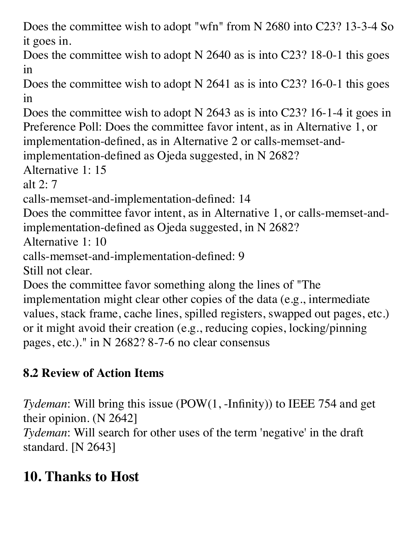Does the committee wish to adopt "wfn" from N 2680 into C23? 13-3-4 So it goes in.

Does the committee wish to adopt N 2640 as is into C23? 18-0-1 this goes in

Does the committee wish to adopt N 2641 as is into C23? 16-0-1 this goes in

Does the committee wish to adopt N 2643 as is into C23? 16-1-4 it goes in Preference Poll: Does the committee favor intent, as in Alternative 1, or implementation-defined, as in Alternative 2 or calls-memset-and-

implementation-defined as Ojeda suggested, in N 2682?

Alternative 1: 15

alt 2: 7

calls-memset-and-implementation-defined: 14

Does the committee favor intent, as in Alternative 1, or calls-memset-andimplementation-defined as Ojeda suggested, in N 2682?

Alternative 1: 10

```
calls-memset-and-implementation-defined: 9
```
Still not clear.

Does the committee favor something along the lines of "The implementation might clear other copies of the data (e.g., intermediate values, stack frame, cache lines, spilled registers, swapped out pages, etc.) or it might avoid their creation (e.g., reducing copies, locking/pinning pages, etc.)." in N 2682? 8-7-6 no clear consensus

## **8.2 Review of Action Items**

*Tydeman*: Will bring this issue (POW(1, -Infinity)) to IEEE 754 and get their opinion. (N 2642]

*Tydeman*: Will search for other uses of the term 'negative' in the draft standard. [N 2643]

## **10. Thanks to Host**